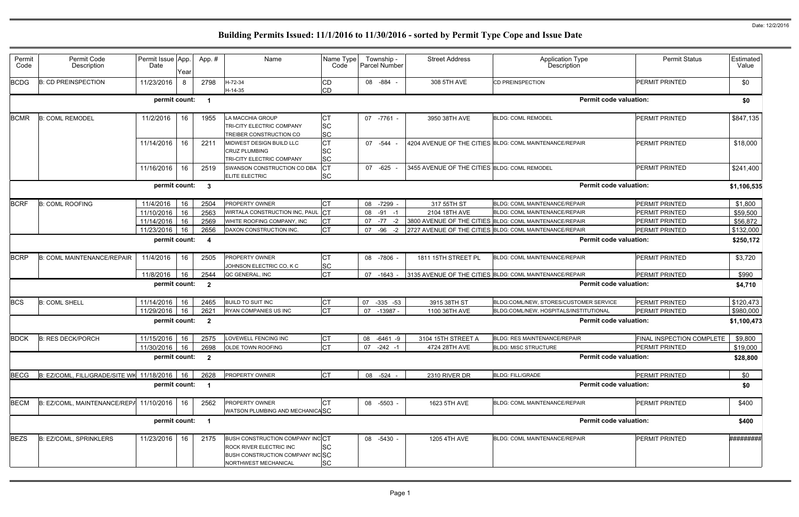| Permit<br>Code | Permit Code<br>Description                     | Permit Issue App.<br>Date | Year | App.#                   | Name                                                                                                                  | Name Type<br>Code                   |    | Township -<br>Parcel Number | <b>Street Address</b>                        | <b>Application Type</b><br>Description                  | <b>Permit Status</b>      | Estimated<br>Value |
|----------------|------------------------------------------------|---------------------------|------|-------------------------|-----------------------------------------------------------------------------------------------------------------------|-------------------------------------|----|-----------------------------|----------------------------------------------|---------------------------------------------------------|---------------------------|--------------------|
| <b>BCDG</b>    | <b>B: CD PREINSPECTION</b>                     | 11/23/2016                | 8    | 2798                    | H-72-34<br>H-14-35                                                                                                    | <b>CD</b><br><b>CD</b>              |    | 08 - 884 -                  | 308 5TH AVE                                  | <b>CD PREINSPECTION</b>                                 | <b>PERMIT PRINTED</b>     | \$0                |
|                |                                                | permit count:             |      | $\overline{\mathbf{1}}$ |                                                                                                                       |                                     |    |                             |                                              | <b>Permit code valuation:</b>                           |                           | \$0                |
| <b>BCMR</b>    | <b>B: COML REMODEL</b>                         | 11/2/2016                 | 16   | 1955                    | LA MACCHIA GROUP<br>TRI-CITY ELECTRIC COMPANY<br>TREIBER CONSTRUCTION CO                                              | <b>CT</b><br><b>SC</b><br><b>SC</b> |    | 07 -7761 -                  | 3950 38TH AVE                                | <b>BLDG: COML REMODEL</b>                               | <b>PERMIT PRINTED</b>     | \$847,135          |
|                |                                                | 11/14/2016                | 16   | 2211                    | MIDWEST DESIGN BUILD LLC<br><b>CRUZ PLUMBING</b><br>TRI-CITY ELECTRIC COMPANY                                         | <b>CT</b><br><b>SC</b><br><b>SC</b> |    | 07 -544                     |                                              | 4204 AVENUE OF THE CITIES BLDG: COML MAINTENANCE/REPAIR | <b>PERMIT PRINTED</b>     | \$18,000           |
|                |                                                | 11/16/2016                | 16   | 2519                    | SWANSON CONSTRUCTION CO DBA<br><b>ELITE ELECTRIC</b>                                                                  | <b>CT</b><br><b>SC</b>              | 07 | $-625$                      | 3455 AVENUE OF THE CITIES BLDG: COML REMODEL |                                                         | <b>PERMIT PRINTED</b>     | \$241,400          |
|                |                                                | permit count:             |      | $\overline{\mathbf{3}}$ |                                                                                                                       |                                     |    |                             |                                              | <b>Permit code valuation:</b>                           |                           | \$1,106,535        |
| <b>BCRF</b>    | <b>B: COML ROOFING</b>                         | 11/4/2016                 | 16   | 2504                    | PROPERTY OWNER                                                                                                        | <b>CT</b>                           | 08 | $-7299$                     | 317 55TH ST                                  | BLDG: COML MAINTENANCE/REPAIR                           | PERMIT PRINTED            | \$1,800            |
|                |                                                | 11/10/2016                | 16   | 2563                    | WIRTALA CONSTRUCTION INC, PAUL                                                                                        | $ _{\rm CT}$                        | 08 | $-91 - 1$                   | 2104 18TH AVE                                | <b>BLDG: COML MAINTENANCE/REPAIR</b>                    | PERMIT PRINTED            | \$59,500           |
|                |                                                | 11/14/2016                | 16   | 2569                    | WHITE ROOFING COMPANY, INC                                                                                            | <b>CT</b>                           | 07 | $-77$<br>$-2$               |                                              | 3800 AVENUE OF THE CITIES BLDG: COML MAINTENANCE/REPAIR | PERMIT PRINTED            | \$56,872           |
|                |                                                | 11/23/2016                | 16   | 2656                    | DAXON CONSTRUCTION INC.                                                                                               | <b>CT</b>                           | 07 | $-96$<br>$-2$               |                                              | 2727 AVENUE OF THE CITIES BLDG: COML MAINTENANCE/REPAIR | PERMIT PRINTED            | \$132,000          |
|                |                                                | permit count:             |      | - 4                     |                                                                                                                       |                                     |    |                             |                                              | <b>Permit code valuation:</b>                           |                           | \$250,172          |
| <b>BCRP</b>    | <b>B: COML MAINTENANCE/REPAIR</b>              | 11/4/2016                 | 16   | 2505                    | PROPERTY OWNER<br>JOHNSON ELECTRIC CO, K C                                                                            | <b>CT</b><br><b>SC</b>              |    | 08 -7806                    | 1811 15TH STREET PL                          | BLDG: COML MAINTENANCE/REPAIR                           | <b>PERMIT PRINTED</b>     | \$3,720            |
|                |                                                | 11/8/2016                 | 16   | 2544                    | QC GENERAL, INC                                                                                                       | <b>CT</b>                           | 07 | $-1643$                     |                                              | 3135 AVENUE OF THE CITIES BLDG: COML MAINTENANCE/REPAIR | <b>PERMIT PRINTED</b>     | \$990              |
|                |                                                | permit count:             |      | $\overline{\mathbf{2}}$ |                                                                                                                       |                                     |    |                             |                                              | <b>Permit code valuation:</b>                           |                           | \$4,710            |
| <b>BCS</b>     | <b>B: COML SHELL</b>                           | 11/14/2016 16             |      | 2465                    | <b>BUILD TO SUIT INC</b>                                                                                              | СT                                  | 07 | $-335 -53$                  | 3915 38TH ST                                 | BLDG:COML/NEW, STORES/CUSTOMER SERVICE                  | <b>PERMIT PRINTED</b>     | \$120,473          |
|                |                                                | 11/29/2016                | 16   | 2621                    | <b>RYAN COMPANIES US INC</b>                                                                                          | <b>CT</b>                           | 07 | -13987 -                    | 1100 36TH AVE                                | BLDG:COML/NEW, HOSPITALS/INSTITUTIONAL                  | PERMIT PRINTED            | \$980,000          |
|                |                                                | permit count:             |      | $\overline{\mathbf{2}}$ |                                                                                                                       |                                     |    |                             |                                              | <b>Permit code valuation:</b>                           |                           | \$1,100,473        |
| <b>BDCK</b>    | <b>B: RES DECK/PORCH</b>                       | 11/15/2016                | 16   | 2575                    | LOVEWELL FENCING INC                                                                                                  | <b>CT</b>                           |    | 08 -6461 -9                 | 3104 15TH STREET A                           | <b>BLDG: RES MAINTENANCE/REPAIR</b>                     | FINAL INSPECTION COMPLETE | \$9,800            |
|                |                                                | 11/30/2016 16             |      | 2698                    | <b>OLDE TOWN ROOFING</b>                                                                                              | <b>CT</b>                           |    | 07 -242 -1                  | 4724 28TH AVE                                | <b>BLDG: MISC STRUCTURE</b>                             | <b>PERMIT PRINTED</b>     | \$19,000           |
|                |                                                | permit count: 2           |      |                         |                                                                                                                       |                                     |    |                             |                                              | <b>Permit code valuation:</b>                           |                           | \$28,800           |
| <b>BECG</b>    | B: EZ/COML, FILL/GRADE/SITE WK 11/18/2016   16 |                           |      | 2628                    | PROPERTY OWNER                                                                                                        | <b>CT</b>                           |    | 08 -524 -                   | 2310 RIVER DR                                | <b>BLDG: FILL/GRADE</b>                                 | PERMIT PRINTED            | \$0                |
|                |                                                | permit count: 1           |      |                         |                                                                                                                       |                                     |    |                             |                                              | <b>Permit code valuation:</b>                           |                           | \$0                |
| <b>BECM</b>    | B: EZ/COML, MAINTENANCE/REPA 11/10/2016   16   |                           |      | 2562                    | PROPERTY OWNER<br>WATSON PLUMBING AND MECHANICASC                                                                     | <b>CT</b>                           |    | 08 -5503 -                  | 1623 5TH AVE                                 | BLDG: COML MAINTENANCE/REPAIR                           | PERMIT PRINTED            | \$400              |
|                |                                                | permit count: 1           |      |                         |                                                                                                                       |                                     |    |                             |                                              | <b>Permit code valuation:</b>                           |                           | \$400              |
| <b>BEZS</b>    | <b>B: EZ/COML, SPRINKLERS</b>                  | 11/23/2016 16             |      | 2175                    | BUSH CONSTRUCTION COMPANY INCCT<br>ROCK RIVER ELECTRIC INC<br>BUSH CONSTRUCTION COMPANY INCSC<br>NORTHWEST MECHANICAL | <b>SC</b><br><b>SC</b>              |    | 08 -5430 -                  | 1205 4TH AVE                                 | <b>BLDG: COML MAINTENANCE/REPAIR</b>                    | <b>PERMIT PRINTED</b>     | #########          |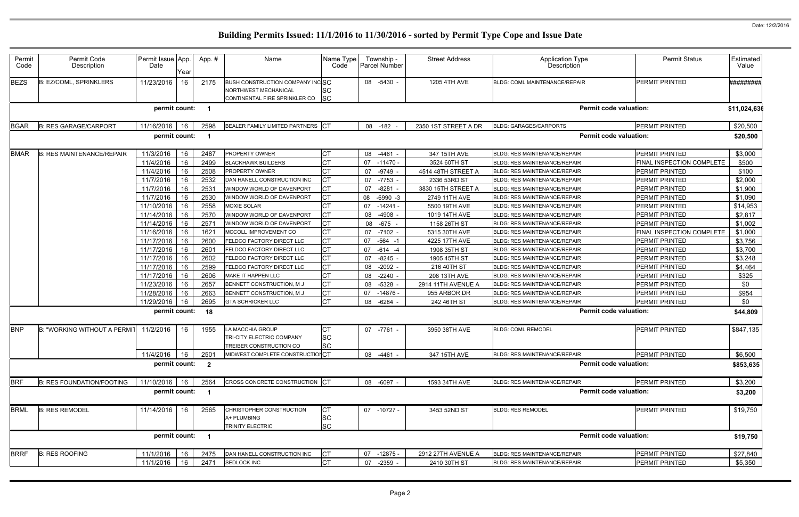| Permit<br>Code | Permit Code<br>Description          | Permit Issue App.<br>Date |      | App.#                   | Name                                                         | Name Type<br>Code      | Township -<br><b>Parcel Number</b> | <b>Street Address</b> | <b>Application Type</b><br>Description | <b>Permit Status</b>             | Estimated<br>Value |
|----------------|-------------------------------------|---------------------------|------|-------------------------|--------------------------------------------------------------|------------------------|------------------------------------|-----------------------|----------------------------------------|----------------------------------|--------------------|
|                |                                     |                           | Year |                         |                                                              |                        |                                    |                       |                                        |                                  |                    |
| <b>BEZS</b>    | <b>B: EZ/COML, SPRINKLERS</b>       | 11/23/2016                | 16   | 2175                    | BUSH CONSTRUCTION COMPANY INCSC                              |                        | 08 -5430 -                         | 1205 4TH AVE          | BLDG: COML MAINTENANCE/REPAIR          | <b>PERMIT PRINTED</b>            | #########          |
|                |                                     |                           |      |                         | <b>NORTHWEST MECHANICAL</b><br>CONTINENTAL FIRE SPRINKLER CO | <b>SC</b><br><b>SC</b> |                                    |                       |                                        |                                  |                    |
|                |                                     |                           |      |                         |                                                              |                        |                                    |                       |                                        |                                  |                    |
|                |                                     | permit count:             |      | $\overline{\mathbf{1}}$ |                                                              |                        |                                    |                       | <b>Permit code valuation:</b>          |                                  | \$11,024,63        |
| <b>BGAR</b>    | <b>B: RES GARAGE/CARPORT</b>        | 11/16/2016                | 16   | 2598                    | BEALER FAMILY LIMITED PARTNERS CT                            |                        | 08 -182                            | 2350 1ST STREET A DR  | <b>BLDG: GARAGES/CARPORTS</b>          | PERMIT PRINTED                   | \$20,500           |
|                |                                     | permit count:             |      | $\overline{\mathbf{1}}$ |                                                              |                        |                                    |                       | <b>Permit code valuation:</b>          |                                  | \$20,500           |
| <b>BMAR</b>    | <b>B: RES MAINTENANCE/REPAIR</b>    | 11/3/2016                 | 16   | 2487                    | PROPERTY OWNER                                               | CT                     | 08<br>$-4461$                      | 347 15TH AVE          | <b>BLDG: RES MAINTENANCE/REPAIR</b>    | <b>PERMIT PRINTED</b>            | \$3,000            |
|                |                                     | 11/4/2016                 | 16   | 2499                    | <b>BLACKHAWK BUILDERS</b>                                    | СT                     | 07<br>$-11470 -$                   | 3524 60TH ST          | <b>BLDG: RES MAINTENANCE/REPAIR</b>    | <b>FINAL INSPECTION COMPLETE</b> | \$500              |
|                |                                     | 11/4/2016                 | 16   | 2508                    | PROPERTY OWNER                                               | <b>CT</b>              | $-9749$ .<br>07                    | 4514 48TH STREET A    | <b>BLDG: RES MAINTENANCE/REPAIR</b>    | <b>PERMIT PRINTED</b>            | \$100              |
|                |                                     | 11/7/2016                 | 16   | 2532                    | DAN HANELL CONSTRUCTION INC                                  | <b>ICT</b>             | 07<br>-7753                        | 2336 53RD ST          | <b>BLDG: RES MAINTENANCE/REPAIR</b>    | PERMIT PRINTED                   | \$2,000            |
|                |                                     | 11/7/2016                 | 16   | 2531                    | WINDOW WORLD OF DAVENPORT                                    | Iст                    | $-8281$<br>07                      | 3830 15TH STREET A    | <b>BLDG: RES MAINTENANCE/REPAIR</b>    | PERMIT PRINTED                   | \$1,900            |
|                |                                     | 11/7/2016                 | 16   | 2530                    | WINDOW WORLD OF DAVENPORT                                    | <b>CT</b>              | 08<br>$-6990 -3$                   | 2749 11TH AVE         | <b>BLDG: RES MAINTENANCE/REPAIR</b>    | PERMIT PRINTED                   | \$1,090            |
|                |                                     | 11/10/2016                | 16   | 2558                    | <b>MOXIE SOLAR</b>                                           | <b>CT</b>              | $-14241$<br>07                     | 5500 19TH AVE         | <b>BLDG: RES MAINTENANCE/REPAIR</b>    | <b>PERMIT PRINTED</b>            | \$14,953           |
|                |                                     | 11/14/2016                | 16   | 2570                    | WINDOW WORLD OF DAVENPORT                                    | IСТ                    | $-4908$<br>08                      | 1019 14TH AVE         | <b>BLDG: RES MAINTENANCE/REPAIR</b>    | <b>PERMIT PRINTED</b>            | \$2,817            |
|                |                                     | 11/14/2016                | 16   | 257                     | WINDOW WORLD OF DAVENPORT                                    | IСТ                    | 08<br>$-675$                       | 1158 26TH ST          | <b>BLDG: RES MAINTENANCE/REPAIR</b>    | <b>PERMIT PRINTED</b>            | \$1,002            |
|                |                                     | 11/16/2016                | 16   | 162 <sup>2</sup>        | MCCOLL IMPROVEMENT CO                                        | <b>CT</b>              | $-7102 -$<br>07                    | 5315 30TH AVE         | <b>BLDG: RES MAINTENANCE/REPAIR</b>    | FINAL INSPECTION COMPLETE        | \$1,000            |
|                |                                     | 11/17/2016                | 16   | 2600                    | FELDCO FACTORY DIRECT LLC                                    | IСТ                    | 07<br>$-564 - 1$                   | 4225 17TH AVE         | <b>BLDG: RES MAINTENANCE/REPAIR</b>    | <b>PERMIT PRINTED</b>            | \$3,756            |
|                |                                     | 11/17/2016                | 16   | 2601                    | FELDCO FACTORY DIRECT LLC                                    | <b>CT</b>              | 07<br>$-614 - 4$                   | 1908 35TH ST          | <b>BLDG: RES MAINTENANCE/REPAIR</b>    | <b>PERMIT PRINTED</b>            | \$3,700            |
|                |                                     | 11/17/2016                | 16   | 2602                    | FELDCO FACTORY DIRECT LLC                                    | IСТ                    | 07<br>$-8245$                      | 1905 45TH ST          | BLDG: RES MAINTENANCE/REPAIR           | <b>PERMIT PRINTED</b>            | \$3,248            |
|                |                                     | 11/17/2016                | 16   | 2599                    | FELDCO FACTORY DIRECT LLC                                    | Iст                    | $-2092$<br>08                      | 216 40TH ST           | <b>BLDG: RES MAINTENANCE/REPAIR</b>    | PERMIT PRINTED                   | \$4,464            |
|                |                                     | 11/17/2016                | 16   | 2606                    | MAKE IT HAPPEN LLC                                           | <b>CT</b>              | 08<br>$-2240$                      | 208 13TH AVE          | <b>BLDG: RES MAINTENANCE/REPAIR</b>    | PERMIT PRINTED                   | \$325              |
|                |                                     | 11/23/2016                | 16   | 2657                    | BENNETT CONSTRUCTION, M J                                    | <b>CT</b>              | $-5328$<br>08                      | 2914 11TH AVENUE A    | <b>BLDG: RES MAINTENANCE/REPAIR</b>    | <b>PERMIT PRINTED</b>            | \$0                |
|                |                                     | 11/28/2016                | 16   | 2663                    | BENNETT CONSTRUCTION, M J                                    | <b>CT</b>              | 07<br>$-14876$                     | 955 ARBOR DR          | <b>BLDG: RES MAINTENANCE/REPAIR</b>    | <b>PERMIT PRINTED</b>            | \$954              |
|                |                                     | 11/29/2016                | 16   | 2695                    | <b>GTA SCHRICKER LLC</b>                                     | Iст                    | 08<br>-6284                        | 242 46TH ST           | <b>BLDG: RES MAINTENANCE/REPAIR</b>    | <b>PERMIT PRINTED</b>            | \$0                |
|                |                                     | permit count:             |      | 18                      |                                                              |                        |                                    |                       | <b>Permit code valuation:</b>          |                                  | \$44,809           |
| <b>BNP</b>     | <b>B: "WORKING WITHOUT A PERMIT</b> | 11/2/2016                 | 16   | 1955                    | LA MACCHIA GROUP                                             | <b>CT</b>              | 07 -7761 -                         | 3950 38TH AVE         | <b>BLDG: COML REMODEL</b>              | <b>PERMIT PRINTED</b>            | \$847,135          |
|                |                                     |                           |      |                         | TRI-CITY ELECTRIC COMPANY                                    | <b>SC</b>              |                                    |                       |                                        |                                  |                    |
|                |                                     |                           |      |                         | TREIBER CONSTRUCTION CO                                      | SC                     |                                    |                       |                                        |                                  |                    |
|                |                                     | 11/4/2016                 | 16   | 2501                    | MIDWEST COMPLETE CONSTRUCTIONCT                              |                        | 08 -4461 -                         | 347 15TH AVE          | <b>BLDG: RES MAINTENANCE/REPAIR</b>    | <b>PERMIT PRINTED</b>            | \$6,500            |
|                |                                     | permit count: 2           |      |                         |                                                              |                        |                                    |                       | <b>Permit code valuation:</b>          |                                  | \$853,635          |
| <b>BRF</b>     | <b>B: RES FOUNDATION/FOOTING</b>    | 11/10/2016 16             |      | 2564                    | CROSS CONCRETE CONSTRUCTION CT                               |                        | 08 -6097 -                         | 1593 34TH AVE         | <b>BLDG: RES MAINTENANCE/REPAIR</b>    | <b>PERMIT PRINTED</b>            | \$3,200            |
|                |                                     | permit count:             |      | $\overline{\mathbf{1}}$ |                                                              |                        |                                    |                       | <b>Permit code valuation:</b>          |                                  | \$3,200            |
| <b>BRML</b>    | <b>B: RES REMODEL</b>               | 11/14/2016                | 16   | 2565                    | CHRISTOPHER CONSTRUCTION                                     | <b>CT</b>              | 07 -10727 -                        | 3453 52ND ST          | <b>BLDG: RES REMODEL</b>               | <b>PERMIT PRINTED</b>            | \$19,750           |
|                |                                     |                           |      |                         | A+ PLUMBING                                                  | <b>SC</b>              |                                    |                       |                                        |                                  |                    |
|                |                                     |                           |      |                         | TRINITY ELECTRIC                                             | <b>SC</b>              |                                    |                       |                                        |                                  |                    |
|                |                                     | permit count:             |      | $\overline{\mathbf{1}}$ |                                                              |                        |                                    |                       | <b>Permit code valuation:</b>          |                                  | \$19,750           |
| <b>BRRF</b>    | <b>B: RES ROOFING</b>               | 11/1/2016                 | 16   | 2475                    | DAN HANELL CONSTRUCTION INC                                  | Iст                    | 07 -12875 -                        | 2912 27TH AVENUE A    | BLDG: RES MAINTENANCE/REPAIR           | PERMIT PRINTED                   | \$27,840           |
|                |                                     | 11/1/2016                 | 16   | 2471                    | SEDLOCK INC                                                  | <b>CT</b>              | 07<br>$-2359 -$                    | 2410 30TH ST          | <b>BLDG: RES MAINTENANCE/REPAIR</b>    | PERMIT PRINTED                   | \$5,350            |
|                |                                     |                           |      |                         |                                                              |                        |                                    |                       |                                        |                                  |                    |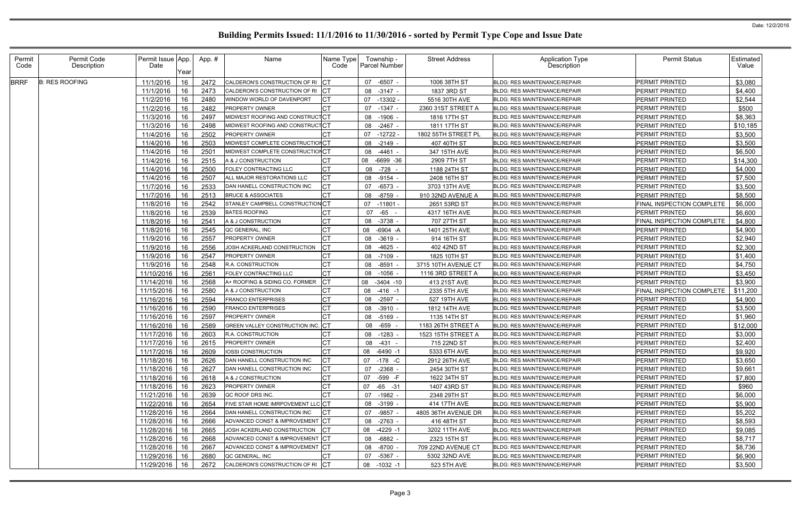| Permit<br>Code | Permit Code<br>Description | Permit Issue App.<br>Date |                    | App.#        | Name                                     | Name Type<br>Code | Township -<br><b>Parcel Number</b> | <b>Street Address</b>                    | <b>Application Type</b><br>Description                                     | <b>Permit Status</b>                           | Estimated  <br>Value |
|----------------|----------------------------|---------------------------|--------------------|--------------|------------------------------------------|-------------------|------------------------------------|------------------------------------------|----------------------------------------------------------------------------|------------------------------------------------|----------------------|
| <b>BRRF</b>    | <b>B: RES ROOFING</b>      | 11/1/2016                 | <b>IYear</b><br>16 | 2472         | CALDERON'S CONSTRUCTION OF RI CT         |                   | -6507 -<br>07                      | 1006 38TH ST                             | <b>BLDG: RES MAINTENANCE/REPAIR</b>                                        | <b>PERMIT PRINTED</b>                          | \$3,080              |
|                |                            | 11/1/2016                 | 16                 | 2473         | CALDERON'S CONSTRUCTION OF RI            |                   | $-3147 -$<br>08                    | 1837 3RD ST                              | <b>BLDG: RES MAINTENANCE/REPAIR</b>                                        | <b>PERMIT PRINTED</b>                          | \$4,400              |
|                |                            | 11/2/2016                 | 16                 | 2480         | WINDOW WORLD OF DAVENPORT                |                   | 07<br>-13302 -                     | 5516 30TH AVE                            | <b>BLDG: RES MAINTENANCE/REPAIR</b>                                        | <b>PERMIT PRINTED</b>                          | \$2,544              |
|                |                            | 11/2/2016                 | 16                 | 2482         | <b>PROPERTY OWNER</b>                    |                   | $-1347 -$<br>07                    | 2360 31ST STREET A                       | <b>BLDG: RES MAINTENANCE/REPAIR</b>                                        | <b>PERMIT PRINTED</b>                          | \$500                |
|                |                            | 11/3/2016                 | 16                 | 2497         | MIDWEST ROOFING AND CONSTRUCTCT          |                   | $-1906$<br>08                      | 1816 17TH ST                             | <b>BLDG: RES MAINTENANCE/REPAIR</b>                                        | <b>PERMIT PRINTED</b>                          | \$8,363              |
|                |                            | 11/3/2016                 | 16                 | 2498         | MIDWEST ROOFING AND CONSTRUCTCT          |                   | $-2467$<br>08                      | 1811 17TH ST                             | <b>BLDG: RES MAINTENANCE/REPAIR</b>                                        | PERMIT PRINTED                                 | \$10,185             |
|                |                            | 11/4/2016                 | 16                 | 2502         | <b>PROPERTY OWNER</b>                    |                   | $-12722 -$<br>07                   | 1802 55TH STREET PL                      | <b>BLDG: RES MAINTENANCE/REPAIR</b>                                        | <b>PERMIT PRINTED</b>                          | \$3,500              |
|                |                            | 11/4/2016                 | 16                 | 2503         | MIDWEST COMPLETE CONSTRUCTIONCT          |                   | 08<br>-2149                        | 407 40TH ST                              | <b>BLDG: RES MAINTENANCE/REPAIR</b>                                        | <b>PERMIT PRINTED</b>                          | \$3,500              |
|                |                            | 11/4/2016                 | 16                 | 2501         | MIDWEST COMPLETE CONSTRUCTIONCT          |                   | $-4461$<br>08                      | 347 15TH AVE                             | <b>BLDG: RES MAINTENANCE/REPAIR</b>                                        | <b>PERMIT PRINTED</b>                          | \$6,500              |
|                |                            | 11/4/2016                 | 16                 | 2515         | A & J CONSTRUCTION                       |                   | 08<br>$-6699 - 36$                 | 2909 7TH ST                              | <b>BLDG: RES MAINTENANCE/REPAIR</b>                                        | PERMIT PRINTED                                 | \$14,300             |
|                |                            | 11/4/2016                 | 16                 | 2500         | FOLEY CONTRACTING LLC                    |                   | -728 -<br>08                       | 1188 24TH ST                             | <b>BLDG: RES MAINTENANCE/REPAIR</b>                                        | <b>PERMIT PRINTED</b>                          | \$4,000              |
|                |                            | 11/4/2016                 | 16                 | 2507         | ALL MAJOR RESTORATIONS LLC               |                   | 08<br>-9154                        | 2408 16TH ST                             | <b>BLDG: RES MAINTENANCE/REPAIR</b>                                        | <b>PERMIT PRINTED</b>                          | \$7,500              |
|                |                            | 11/7/2016                 | 16                 | 2533         | DAN HANELL CONSTRUCTION INC              |                   | $-6573$<br>07                      | 3703 13TH AVE                            | <b>BLDG: RES MAINTENANCE/REPAIR</b>                                        | <b>PERMIT PRINTED</b>                          | \$3,500              |
|                |                            | 11/7/2016                 | 16                 | 2513         | <b>BRUCE &amp; ASSOCIATES</b>            |                   | $-8759$<br>08                      | 910 32ND AVENUE A                        | <b>BLDG: RES MAINTENANCE/REPAIR</b>                                        | <b>PERMIT PRINTED</b>                          | \$8,500              |
|                |                            | 11/8/2016                 | 16                 | 2542         | STANLEY CAMPBELL CONSTRUCTIONCT          |                   | $-11801$<br>07                     | 2651 53RD ST                             | <b>BLDG: RES MAINTENANCE/REPAIR</b>                                        | FINAL INSPECTION COMPLETE                      | \$6,000              |
|                |                            | 11/8/2016                 | 16                 | 2539         | <b>BATES ROOFING</b>                     |                   | $-65$<br>07                        | 4317 16TH AVE                            | <b>BLDG: RES MAINTENANCE/REPAIR</b>                                        | <b>PERMIT PRINTED</b>                          | \$6,600              |
|                |                            | 11/8/2016                 | 16                 | 2541         | A & J CONSTRUCTION                       |                   | 08<br>-3738                        | 707 27TH ST                              | <b>BLDG: RES MAINTENANCE/REPAIR</b>                                        | FINAL INSPECTION COMPLETE                      | \$4,800              |
|                |                            | 11/8/2016                 | 16                 | 2545         | QC GENERAL, INC                          |                   | $-6904 - A$<br>08                  | 1401 25TH AVE                            | <b>BLDG: RES MAINTENANCE/REPAIR</b>                                        | <b>PERMIT PRINTED</b>                          | \$4,900              |
|                |                            | 11/9/2016                 | 16                 | 2557         | <b>PROPERTY OWNER</b>                    |                   | $-3619$<br>08                      | 914 16TH ST                              | <b>BLDG: RES MAINTENANCE/REPAIR</b>                                        | PERMIT PRINTED                                 | \$2,940              |
|                |                            | 11/9/2016                 | 16                 | 2556         | JOSH ACKERLAND CONSTRUCTION              |                   | 08<br>$-4625$                      | 402 42ND ST                              | <b>BLDG: RES MAINTENANCE/REPAIR</b>                                        | <b>PERMIT PRINTED</b>                          | \$2,300              |
|                |                            | 11/9/2016                 | 16                 | 2547         | <b>PROPERTY OWNER</b>                    |                   | $-7109$<br>08                      | 1825 10TH ST                             | <b>BLDG: RES MAINTENANCE/REPAIR</b>                                        | <b>PERMIT PRINTED</b>                          | \$1,400              |
|                |                            |                           | 16                 | 2548         | <b>R.A. CONSTRUCTION</b>                 |                   | $-8591$                            |                                          | <b>BLDG: RES MAINTENANCE/REPAIR</b>                                        |                                                | \$4,750              |
|                |                            | 11/9/2016                 | 16                 |              |                                          | <b>CT</b>         | 08<br>$-1056$                      | 3715 10TH AVENUE CT<br>1116 3RD STREET A |                                                                            | <b>PERMIT PRINTED</b><br><b>PERMIT PRINTED</b> |                      |
|                |                            | 11/10/2016                |                    | 2561<br>2568 | FOLEY CONTRACTING LLC                    |                   | 08                                 |                                          | <b>BLDG: RES MAINTENANCE/REPAIR</b>                                        |                                                | \$3,450              |
|                |                            | 11/14/2016<br>11/15/2016  | 16                 | 2580         | A+ ROOFING & SIDING CO. FORMER           |                   | 08 -3404 -10                       | 413 21ST AVE<br>2335 5TH AVE             | <b>BLDG: RES MAINTENANCE/REPAIR</b><br><b>BLDG: RES MAINTENANCE/REPAIR</b> | PERMIT PRINTED<br>FINAL INSPECTION COMPLETE    | \$3,900              |
|                |                            |                           | 16                 |              | A & J CONSTRUCTION                       |                   | $-416 - 1$<br>08                   |                                          |                                                                            |                                                | \$11,200             |
|                |                            | 11/16/2016                | 16                 | 2594         | <b>FRANCO ENTERPRISES</b>                |                   | 08<br>-2597                        | 527 19TH AVE                             | <b>BLDG: RES MAINTENANCE/REPAIR</b>                                        | PERMIT PRINTED                                 | \$4,900              |
|                |                            | 11/16/2016                | 16                 | 2590         | <b>FRANCO ENTERPRISES</b>                |                   | $-3910$<br>08                      | 1812 14TH AVE                            | <b>BLDG: RES MAINTENANCE/REPAIR</b>                                        | <b>PERMIT PRINTED</b>                          | \$3,500              |
|                |                            | 11/16/2016                | 16                 | 2597         | <b>PROPERTY OWNER</b>                    |                   | $-5169$<br>08                      | 1135 14TH ST                             | <b>BLDG: RES MAINTENANCE/REPAIR</b>                                        | PERMIT PRINTED                                 | \$1,960              |
|                |                            | 11/16/2016                | 16                 | 2589         | <b>GREEN VALLEY CONSTRUCTION INC. CT</b> |                   | -659 -<br>08                       | 1183 26TH STREET A                       | <b>BLDG: RES MAINTENANCE/REPAIR</b>                                        | <b>PERMIT PRINTED</b>                          | \$12,000             |
|                |                            | 11/17/2016                | 16                 | 2603         | R.A. CONSTRUCTION                        | <b>CT</b>         | $-1283$<br>08                      | 1523 15TH STREET A                       | BLDG: RES MAINTENANCE/REPAIR                                               | <b>PERMIT PRINTED</b>                          | \$3,000              |
|                |                            | 11/17/2016 16             |                    | 2615         | PROPERTY OWNER                           |                   | 08 -431 -                          | 715 22ND ST                              | BLDG: RES MAINTENANCE/REPAIR                                               | PERMIT PRINTED                                 | \$2,400              |
|                |                            | 11/17/2016 16             |                    | 2609         | <b>IOSSI CONSTRUCTION</b>                | <b>CT</b>         | 08 -6490 -1                        | 5333 6TH AVE                             | BLDG: RES MAINTENANCE/REPAIR                                               | <b>PERMIT PRINTED</b>                          | \$9,920              |
|                |                            | 11/18/2016   16           |                    | 2626         | DAN HANELL CONSTRUCTION INC              | IСТ               | 07 -178 -C                         | 2912 26TH AVE                            | <b>BLDG: RES MAINTENANCE/REPAIR</b>                                        | <b>PERMIT PRINTED</b>                          | \$3,650              |
|                |                            | 11/18/2016                | 16                 | 2627         | DAN HANELL CONSTRUCTION INC              |                   | 07<br>$-2368 -$                    | 2454 30TH ST                             | <b>BLDG: RES MAINTENANCE/REPAIR</b>                                        | <b>PERMIT PRINTED</b>                          | \$9,661              |
|                |                            | 11/18/2016 16             |                    | 2618         | A & J CONSTRUCTION                       | <b>CT</b>         | -599 -F<br>07                      | 1622 34TH ST                             | <b>BLDG: RES MAINTENANCE/REPAIR</b>                                        | <b>PERMIT PRINTED</b>                          | \$7,800              |
|                |                            | 11/18/2016                | 16                 | 2623         | <b>PROPERTY OWNER</b>                    |                   | 07<br>-65 -31                      | 1407 43RD ST                             | <b>BLDG: RES MAINTENANCE/REPAIR</b>                                        | <b>PERMIT PRINTED</b>                          | \$960                |
|                |                            | 11/21/2016                | 16                 | 2639         | QC ROOF DRS INC.                         |                   | -1982 -<br>07                      | 2348 29TH ST                             | BLDG: RES MAINTENANCE/REPAIR                                               | <b>PERMIT PRINTED</b>                          | \$6,000              |
|                |                            | 11/22/2016                | 16                 | 2654         | FIVE STAR HOME IMRPOVEMENT LLC CT        |                   | 08 -3199 -                         | 414 17TH AVE                             | BLDG: RES MAINTENANCE/REPAIR                                               | <b>PERMIT PRINTED</b>                          | \$5,900              |
|                |                            | 11/28/2016                | 16                 | 2664         | DAN HANELL CONSTRUCTION INC              |                   | $-9857 -$<br>07                    | 4805 36TH AVENUE DR                      | <b>BLDG: RES MAINTENANCE/REPAIR</b>                                        | PERMIT PRINTED                                 | \$5,202              |
|                |                            | 11/28/2016                | 16                 | 2666         | ADVANCED CONST & IMPROVEMENT CT          |                   | 08<br>$-2763 -$                    | 416 48TH ST                              | BLDG: RES MAINTENANCE/REPAIR                                               | PERMIT PRINTED                                 | \$8,593              |
|                |                            | 11/28/2016                | 16                 | 2665         | JOSH ACKERLAND CONSTRUCTION              |                   | $-4229 - 1$<br>08                  | 3202 11TH AVE                            | BLDG: RES MAINTENANCE/REPAIR                                               | <b>PERMIT PRINTED</b>                          | \$9,085              |
|                |                            | 11/28/2016                | 16                 | 2668         | ADVANCED CONST & IMPROVEMENT CT          |                   | -6882 -<br>08                      | 2323 15TH ST                             | <b>BLDG: RES MAINTENANCE/REPAIR</b>                                        | <b>PERMIT PRINTED</b>                          | \$8,717              |
|                |                            | 11/28/2016                | 16                 | 2667         | ADVANCED CONST & IMPROVEMENT             | <b>ICT</b>        | $-8700 -$<br>08                    | 709 22ND AVENUE CT                       | <b>BLDG: RES MAINTENANCE/REPAIR</b>                                        | PERMIT PRINTED                                 | \$8,736              |
|                |                            | 11/29/2016 16             |                    | 2680         | QC GENERAL, INC                          |                   | -5367 -<br>07                      | 5302 32ND AVE                            | <b>BLDG: RES MAINTENANCE/REPAIR</b>                                        | PERMIT PRINTED                                 | \$6,900              |
|                |                            | 11/29/2016                | 16                 | 2672         | CALDERON'S CONSTRUCTION OF RI            |                   | 08 -1032 -1                        | 523 5TH AVE                              | <b>BLDG: RES MAINTENANCE/REPAIR</b>                                        | PERMIT PRINTED                                 | \$3,500              |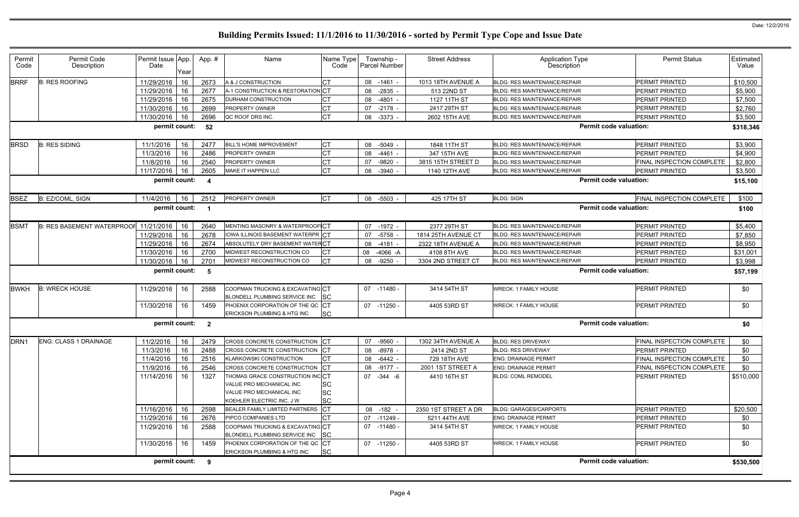| Permit<br>Code   | Permit Code<br>Description            | Permit Issue App.<br>Date | Year | App.#                   | Name                                                                                                                 | Name Type<br>Code                   |    | Township -<br><b>Parcel Number</b> | <b>Street Address</b> | <b>Application Type</b><br>Description | <b>Permit Status</b>      | Estimated<br>Value |
|------------------|---------------------------------------|---------------------------|------|-------------------------|----------------------------------------------------------------------------------------------------------------------|-------------------------------------|----|------------------------------------|-----------------------|----------------------------------------|---------------------------|--------------------|
| <b>BRRF</b>      | <b>B: RES ROOFING</b>                 | 11/29/2016                | 16   | 2673                    | A & J CONSTRUCTION                                                                                                   | СT                                  | 08 | $-1461$                            | 1013 18TH AVENUE A    | <b>BLDG: RES MAINTENANCE/REPAIR</b>    | PERMIT PRINTED            | \$10,500           |
|                  |                                       | 11/29/2016                | 16   | 2677                    | A-1 CONSTRUCTION & RESTORATION CT                                                                                    |                                     | 08 | $-2835$                            | 513 22ND ST           | BLDG: RES MAINTENANCE/REPAIR           | PERMIT PRINTED            | \$5,900            |
|                  |                                       | 11/29/2016                | 16   | 2675                    | DURHAM CONSTRUCTION                                                                                                  |                                     | 08 | $-4801$                            | 1127 11TH ST          | BLDG: RES MAINTENANCE/REPAIR           | PERMIT PRINTED            | \$7,500            |
|                  |                                       | 11/30/2016                | 16   | 2699                    | PROPERTY OWNER                                                                                                       | СT                                  | 07 | $-2178 -$                          | 2417 29TH ST          | BLDG: RES MAINTENANCE/REPAIR           | PERMIT PRINTED            | \$2,760            |
|                  |                                       | 11/30/2016                | 16   | 2696                    | QC ROOF DRS INC.                                                                                                     | <b>CT</b>                           | 08 | $-3373$                            | 2602 15TH AVE         | <b>BLDG: RES MAINTENANCE/REPAIR</b>    | <b>PERMIT PRINTED</b>     | \$3,500            |
|                  |                                       | permit count:             |      | 52                      |                                                                                                                      |                                     |    |                                    |                       | <b>Permit code valuation:</b>          |                           | \$318,346          |
| <b>BRSD</b>      | <b>B: RES SIDING</b>                  | 11/1/2016                 | 16   | 2477                    | <b>BILL'S HOME IMPROVEMENT</b>                                                                                       |                                     | 08 | $-5049$                            | 1848 11TH ST          | <b>BLDG: RES MAINTENANCE/REPAIR</b>    | <b>PERMIT PRINTED</b>     | \$3,900            |
|                  |                                       | 11/3/2016                 | 16   | 2486                    | PROPERTY OWNER                                                                                                       | <b>CT</b>                           | 08 | $-4461$                            | 347 15TH AVE          | BLDG: RES MAINTENANCE/REPAIR           | PERMIT PRINTED            | \$4,900            |
|                  |                                       | 11/8/2016                 | 16   | 2540                    | <b>PROPERTY OWNER</b>                                                                                                | СT                                  | 07 | $-9820$                            | 3815 15TH STREET D    | <b>BLDG: RES MAINTENANCE/REPAIR</b>    | FINAL INSPECTION COMPLETE | \$2,800            |
|                  |                                       | 11/17/2016                | 16   | 2605                    | MAKE IT HAPPEN LLC                                                                                                   | <b>CT</b>                           | 08 | $-3940$                            | 1140 12TH AVE         | <b>BLDG: RES MAINTENANCE/REPAIR</b>    | PERMIT PRINTED            | \$3,500            |
|                  |                                       | permit count:             |      | - 4                     |                                                                                                                      |                                     |    |                                    |                       | <b>Permit code valuation:</b>          |                           | \$15,100           |
| <b>BSEZ</b>      | B: EZ/COML, SIGN                      | 11/4/2016                 | 16   | 2512                    | PROPERTY OWNER                                                                                                       | Iст                                 | 08 | $-5503$                            | 425 17TH ST           | <b>BLDG: SIGN</b>                      | FINAL INSPECTION COMPLETE | \$100              |
|                  |                                       | permit count:             |      | - 1                     |                                                                                                                      |                                     |    |                                    |                       | <b>Permit code valuation:</b>          |                           | \$100              |
| <b>BSMT</b>      | B: RES BASEMENT WATERPROOF 11/21/2016 |                           | 16   | 2640                    | MENTING MASONRY & WATERPROOF CT                                                                                      |                                     | 07 | $-1972 -$                          | 2377 29TH ST          | BLDG: RES MAINTENANCE/REPAIR           | PERMIT PRINTED            | \$5,400            |
|                  |                                       | 11/29/2016                | 16   | 2678                    | IOWA ILLINOIS BASEMENT WATERPR CT                                                                                    |                                     | 07 | $-5758$                            | 1814 25TH AVENUE CT   | <b>BLDG: RES MAINTENANCE/REPAIR</b>    | PERMIT PRINTED            | \$7,850            |
|                  |                                       | 11/29/2016                | 16   | 2674                    | ABSOLUTELY DRY BASEMENT WATEFCT                                                                                      |                                     | 08 | $-4181$                            | 2322 18TH AVENUE A    | <b>BLDG: RES MAINTENANCE/REPAIR</b>    | PERMIT PRINTED            | \$8,950            |
|                  |                                       | 11/30/2016                | 16   | 2700                    | MIDWEST RECONSTRUCTION CO                                                                                            |                                     | 08 | $-4066 - A$                        | 4108 8TH AVE          | <b>BLDG: RES MAINTENANCE/REPAIR</b>    | PERMIT PRINTED            | \$31,001           |
|                  |                                       | 11/30/2016                | 16   | 2701                    | MIDWEST RECONSTRUCTION CO                                                                                            | <b>CT</b>                           | 08 | $-9250$                            | 3304 2ND STREET CT    | <b>BLDG: RES MAINTENANCE/REPAIR</b>    | PERMIT PRINTED            | \$3,998            |
|                  |                                       | permit count:             |      | - 5                     |                                                                                                                      |                                     |    |                                    |                       | <b>Permit code valuation:</b>          |                           | \$57,199           |
| BWKH             | <b>B: WRECK HOUSE</b>                 | 11/29/2016                | 16   | 2588                    | COOPMAN TRUCKING & EXCAVATING CT<br>BLONDELL PLUMBING SERVICE INC                                                    | <b>SC</b>                           | 07 | -11480 -                           | 3414 54TH ST          | <b>WRECK: 1 FAMILY HOUSE</b>           | PERMIT PRINTED            | \$0                |
|                  |                                       | 11/30/2016                | 16   | 1459                    | PHOENIX CORPORATION OF THE QC CT<br>ERICKSON PLUMBING & HTG INC                                                      | <b>SC</b>                           |    | 07 -11250 -                        | 4405 53RD ST          | <b>WRECK: 1 FAMILY HOUSE</b>           | PERMIT PRINTED            | \$0                |
|                  |                                       | permit count:             |      | $\overline{\mathbf{2}}$ |                                                                                                                      |                                     |    |                                    |                       | <b>Permit code valuation:</b>          |                           | \$0                |
| DRN <sub>1</sub> | <b>ENG: CLASS 1 DRAINAGE</b>          | 11/2/2016                 | 16   | 2479                    | CROSS CONCRETE CONSTRUCTION CT                                                                                       |                                     | 07 | $-9560 -$                          | 1302 34TH AVENUE A    | <b>BLDG: RES DRIVEWAY</b>              | FINAL INSPECTION COMPLETE | \$0                |
|                  |                                       | 11/3/2016                 | 16   | 2488                    | CROSS CONCRETE CONSTRUCTION CT                                                                                       |                                     |    | 08 -8978 -                         | 2414 2ND ST           | <b>BLDG: RES DRIVEWAY</b>              | PERMIT PRINTED            | \$0                |
|                  |                                       | 11/4/2016                 | 16   | 2516                    | <b>KLARKOWSKI CONSTRUCTION</b>                                                                                       |                                     | 08 | $-6442 -$                          | 729 18TH AVE          | <b>ENG: DRAINAGE PERMIT</b>            | FINAL INSPECTION COMPLETE | \$0                |
|                  |                                       | 11/9/2016                 | 16   | 2546                    | CROSS CONCRETE CONSTRUCTION CT                                                                                       |                                     |    | 08 -9177 -                         | 2001 1ST STREET A     | <b>ENG: DRAINAGE PERMIT</b>            | FINAL INSPECTION COMPLETE | \$0                |
|                  |                                       | 11/14/2016   16           |      | 1327                    | THOMAS GRACE CONSTRUCTION INC CT<br>VALUE PRO MECHANICAL INC<br>VALUE PRO MECHANICAL INC<br>KOEHLER ELECTRIC INC, JW | <b>SC</b><br><b>SC</b><br><b>SC</b> |    | 07 - 344 - 6                       | 4410 16TH ST          | <b>BLDG: COML REMODEL</b>              | PERMIT PRINTED            | \$510,000          |
|                  |                                       | 11/16/2016                | 16   | 2598                    | BEALER FAMILY LIMITED PARTNERS                                                                                       | $ _{CT}$                            |    | 08 -182 -                          | 2350 1ST STREET A DR  | <b>BLDG: GARAGES/CARPORTS</b>          | PERMIT PRINTED            | \$20,500           |
|                  |                                       | 11/29/2016 16             |      | 2676                    | PIPCO COMPANIES LTD                                                                                                  | <b>CT</b>                           |    | 07 -11249 -                        | 5211 44TH AVE         | <b>ENG: DRAINAGE PERMIT</b>            | PERMIT PRINTED            | \$0                |
|                  |                                       | 11/29/2016   16           |      | 2588                    | COOPMAN TRUCKING & EXCAVATING CT<br>BLONDELL PLUMBING SERVICE INC                                                    | <b>SC</b>                           |    | 07 -11480 -                        | 3414 54TH ST          | <b>WRECK: 1 FAMILY HOUSE</b>           | PERMIT PRINTED            | \$0                |
|                  |                                       | 11/30/2016 16             |      | 1459                    | PHOENIX CORPORATION OF THE QC CT<br><b>ERICKSON PLUMBING &amp; HTG INC</b>                                           | <b>SC</b>                           |    | 07 -11250 -                        | 4405 53RD ST          | <b>WRECK: 1 FAMILY HOUSE</b>           | PERMIT PRINTED            | \$0                |
|                  |                                       | permit count: 9           |      |                         |                                                                                                                      |                                     |    |                                    |                       | <b>Permit code valuation:</b>          |                           | \$530,500          |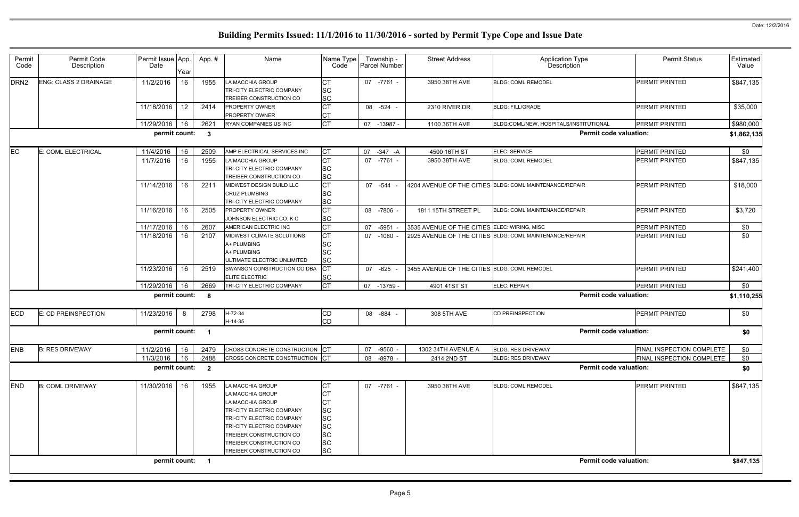|                      | <b>Permit Status</b>      | Estimated<br>Value |
|----------------------|---------------------------|--------------------|
|                      | PERMIT PRINTED            | \$847,135          |
|                      | PERMIT PRINTED            | \$35,000           |
| <b>JTIONAL</b>       | PERMIT PRINTED            | \$980,000          |
| rmit code valuation: |                           | \$1,862,135        |
|                      | PERMIT PRINTED            | \$0                |
|                      | PERMIT PRINTED            | \$847,135          |
|                      | PERMIT PRINTED            | \$18,000           |
|                      | <b>PERMIT PRINTED</b>     | \$3,720            |
|                      | PERMIT PRINTED            | \$0                |
|                      | PERMIT PRINTED            | \$0                |
|                      | PERMIT PRINTED            | \$241,400          |
|                      | PERMIT PRINTED            | \$0                |
| rmit code valuation: |                           | \$1,110,255        |
|                      | PERMIT PRINTED            | \$0                |
| rmit code valuation: |                           | \$0                |
|                      | FINAL INSPECTION COMPLETE | \$0                |
|                      | FINAL INSPECTION COMPLETE | \$0                |
| rmit code valuation: |                           | \$0                |
|                      | PERMIT PRINTED            | \$847,135          |
| rmit code valuation: |                           | \$847,135          |
|                      |                           |                    |

| Permit<br>Code   | Permit Code<br>Description | Permit Issue App.<br>Date |      | App.#                    | Name                             | Name Type<br>Code |    | Township -<br>Parcel Number | <b>Street Address</b>                        | <b>Application Type</b><br>Description                  | <b>Permit Status</b>      | Estimated<br>Value |
|------------------|----------------------------|---------------------------|------|--------------------------|----------------------------------|-------------------|----|-----------------------------|----------------------------------------------|---------------------------------------------------------|---------------------------|--------------------|
|                  |                            |                           | Year |                          |                                  |                   |    |                             |                                              |                                                         |                           |                    |
| DRN <sub>2</sub> | ENG: CLASS 2 DRAINAGE      | 11/2/2016                 | 16   | 1955                     | LA MACCHIA GROUP                 | <b>CT</b>         |    | 07 -7761 -                  | 3950 38TH AVE                                | <b>BLDG: COML REMODEL</b>                               | PERMIT PRINTED            | \$847,135          |
|                  |                            |                           |      |                          | TRI-CITY ELECTRIC COMPANY        | <b>SC</b>         |    |                             |                                              |                                                         |                           |                    |
|                  |                            |                           |      |                          | TREIBER CONSTRUCTION CO          | <b>SC</b>         |    |                             |                                              |                                                         |                           |                    |
|                  |                            | 11/18/2016                | 12   | 2414                     | <b>PROPERTY OWNER</b>            | <b>CT</b>         |    | 08 -524                     | 2310 RIVER DR                                | <b>BLDG: FILL/GRADE</b>                                 | PERMIT PRINTED            | \$35,000           |
|                  |                            |                           |      |                          | <b>PROPERTY OWNER</b>            | CТ                |    |                             |                                              |                                                         |                           |                    |
|                  |                            | 11/29/2016                | 16   | 2621                     | RYAN COMPANIES US INC            | lст               | 07 | -13987 -                    | 1100 36TH AVE                                | BLDG:COML/NEW, HOSPITALS/INSTITUTIONAL                  | PERMIT PRINTED            | \$980,000          |
|                  |                            | permit count:             |      | $\overline{\mathbf{3}}$  |                                  |                   |    |                             |                                              | <b>Permit code valuation:</b>                           |                           | \$1,862,135        |
| EC               | E: COML ELECTRICAL         | 11/4/2016                 | 16   | 2509                     | AMP ELECTRICAL SERVICES INC      | IСТ               | 07 | $-347 - A$                  | 4500 16TH ST                                 | ELEC: SERVICE                                           | PERMIT PRINTED            | \$0                |
|                  |                            | 11/7/2016                 | 16   | 1955                     | LA MACCHIA GROUP                 | <b>CT</b>         |    | 07 -7761 -                  | 3950 38TH AVE                                | <b>BLDG: COML REMODEL</b>                               | PERMIT PRINTED            | \$847,135          |
|                  |                            |                           |      |                          | TRI-CITY ELECTRIC COMPANY        | <b>SC</b>         |    |                             |                                              |                                                         |                           |                    |
|                  |                            |                           |      |                          | TREIBER CONSTRUCTION CO          | <b>SC</b>         |    |                             |                                              |                                                         |                           |                    |
|                  |                            | 11/14/2016                | 16   | 2211                     | MIDWEST DESIGN BUILD LLC         | <b>CT</b>         |    | 07 -544                     |                                              | 4204 AVENUE OF THE CITIES BLDG: COML MAINTENANCE/REPAIR | PERMIT PRINTED            | \$18,000           |
|                  |                            |                           |      |                          | <b>CRUZ PLUMBING</b>             | <b>SC</b>         |    |                             |                                              |                                                         |                           |                    |
|                  |                            |                           |      |                          | <b>TRI-CITY ELECTRIC COMPANY</b> | <b>SC</b>         |    |                             |                                              |                                                         |                           |                    |
|                  |                            | 11/16/2016                | 16   | 2505                     | PROPERTY OWNER                   | <b>CT</b>         |    | 08 -7806 -                  | 1811 15TH STREET PL                          | BLDG: COML MAINTENANCE/REPAIR                           | PERMIT PRINTED            | \$3,720            |
|                  |                            |                           |      |                          | JOHNSON ELECTRIC CO, K C         | <b>SC</b>         |    |                             |                                              |                                                         |                           |                    |
|                  |                            | 11/17/2016                | 16   | 2607                     | AMERICAN ELECTRIC INC            | <b>CT</b>         | 07 | $-5951$                     | 3535 AVENUE OF THE CITIES ELEC: WIRING, MISC |                                                         | PERMIT PRINTED            | \$0                |
|                  |                            | 11/18/2016                | 16   | 2107                     | MIDWEST CLIMATE SOLUTIONS        | lст               | 07 | $-1080 -$                   |                                              | 2925 AVENUE OF THE CITIES BLDG: COML MAINTENANCE/REPAIR | PERMIT PRINTED            | \$0                |
|                  |                            |                           |      |                          | A+ PLUMBING                      | <b>SC</b>         |    |                             |                                              |                                                         |                           |                    |
|                  |                            |                           |      |                          | A+ PLUMBING                      | <b>SC</b>         |    |                             |                                              |                                                         |                           |                    |
|                  |                            |                           |      |                          | ULTIMATE ELECTRIC UNLIMITED      | <b>SC</b>         |    |                             |                                              |                                                         |                           |                    |
|                  |                            | 11/23/2016                | 16   | 2519                     | SWANSON CONSTRUCTION CO DBA      | Iст               |    | 07 -625                     | 3455 AVENUE OF THE CITIES BLDG: COML REMODEL |                                                         | <b>PERMIT PRINTED</b>     | \$241,400          |
|                  |                            |                           |      |                          | ELITE ELECTRIC                   | <b>SC</b>         |    |                             |                                              |                                                         |                           |                    |
|                  |                            | 11/29/2016                | 16   | 2669                     | TRI-CITY ELECTRIC COMPANY        | lст               | 07 | -13759 -                    | 4901 41ST ST                                 | ELEC: REPAIR                                            | PERMIT PRINTED            | \$0                |
|                  |                            | permit count:             |      | $\overline{\mathbf{8}}$  |                                  |                   |    |                             |                                              | <b>Permit code valuation:</b>                           |                           | \$1,110,255        |
| <b>ECD</b>       | E: CD PREINSPECTION        | 11/23/2016                | 8    | 2798                     | H-72-34                          | <b>CD</b>         |    | 08 -884                     | 308 5TH AVE                                  | CD PREINSPECTION                                        | PERMIT PRINTED            | \$0                |
|                  |                            |                           |      |                          | $H-14-35$                        | <b>CD</b>         |    |                             |                                              |                                                         |                           |                    |
|                  |                            | permit count:             |      | - 1                      |                                  |                   |    |                             |                                              | <b>Permit code valuation:</b>                           |                           |                    |
|                  |                            |                           |      |                          |                                  |                   |    |                             |                                              |                                                         |                           | \$0                |
| <b>ENB</b>       | <b>B: RES DRIVEWAY</b>     | 11/2/2016                 | 16   | 2479                     | CROSS CONCRETE CONSTRUCTION CT   |                   | 07 | $-9560 -$                   | 1302 34TH AVENUE A                           | <b>BLDG: RES DRIVEWAY</b>                               | FINAL INSPECTION COMPLETE | \$0                |
|                  |                            | 11/3/2016                 | 16   | 2488                     | CROSS CONCRETE CONSTRUCTION CT   |                   |    | 08 -8978 -                  | 2414 2ND ST                                  | <b>BLDG: RES DRIVEWAY</b>                               | FINAL INSPECTION COMPLETE | \$0                |
|                  |                            | permit count:             |      | $\overline{\mathbf{2}}$  |                                  |                   |    |                             |                                              | <b>Permit code valuation:</b>                           |                           | \$0                |
| <b>END</b>       | <b>B: COML DRIVEWAY</b>    | 11/30/2016                | 16   | 1955                     | LA MACCHIA GROUP                 | СT                |    | 07 -7761 -                  | 3950 38TH AVE                                | <b>BLDG: COML REMODEL</b>                               | PERMIT PRINTED            | \$847,135          |
|                  |                            |                           |      |                          | LA MACCHIA GROUP                 |                   |    |                             |                                              |                                                         |                           |                    |
|                  |                            |                           |      |                          | LA MACCHIA GROUP                 |                   |    |                             |                                              |                                                         |                           |                    |
|                  |                            |                           |      |                          | TRI-CITY ELECTRIC COMPANY        | <b>SC</b>         |    |                             |                                              |                                                         |                           |                    |
|                  |                            |                           |      |                          | TRI-CITY ELECTRIC COMPANY        | <b>SC</b>         |    |                             |                                              |                                                         |                           |                    |
|                  |                            |                           |      |                          | TRI-CITY ELECTRIC COMPANY        | <b>SC</b>         |    |                             |                                              |                                                         |                           |                    |
|                  |                            |                           |      |                          | TREIBER CONSTRUCTION CO          | <b>SC</b>         |    |                             |                                              |                                                         |                           |                    |
|                  |                            |                           |      |                          | TREIBER CONSTRUCTION CO          | <b>SC</b>         |    |                             |                                              |                                                         |                           |                    |
|                  |                            |                           |      |                          | TREIBER CONSTRUCTION CO          | <b>SC</b>         |    |                             |                                              |                                                         |                           |                    |
|                  |                            | permit count:             |      | $\overline{\phantom{0}}$ |                                  |                   |    |                             |                                              | <b>Permit code valuation:</b>                           |                           | \$847,135          |
|                  |                            |                           |      |                          |                                  |                   |    |                             |                                              |                                                         |                           |                    |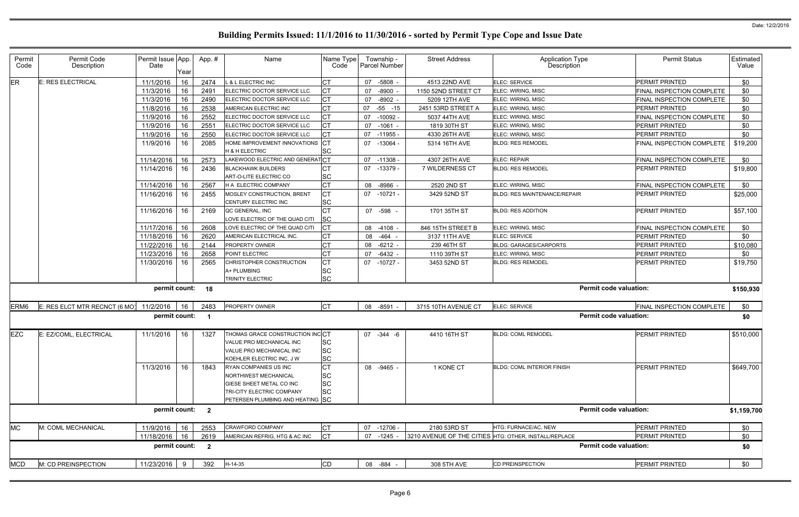| Permit<br>Code   | Permit Code<br>Description    | Permit Issue App.<br>Date | Year | App.#                   | Name                                                                                                                                                     | Name Type<br>Code                          |    | Township -<br>Parcel Number | <b>Street Address</b> | <b>Application Type</b><br>Description                |                               | <b>Permit Status</b>             | Estimated<br>Value |
|------------------|-------------------------------|---------------------------|------|-------------------------|----------------------------------------------------------------------------------------------------------------------------------------------------------|--------------------------------------------|----|-----------------------------|-----------------------|-------------------------------------------------------|-------------------------------|----------------------------------|--------------------|
| ER               | E: RES ELECTRICAL             | 11/1/2016                 | 16   | 2474                    | <b>L &amp; L ELECTRIC INC</b>                                                                                                                            | CT                                         | 07 | $-5808 -$                   | 4513 22ND AVE         | <b>ELEC: SERVICE</b>                                  |                               | PERMIT PRINTED                   | \$0                |
|                  |                               | 11/3/2016                 | 16   | 2491                    | ELECTRIC DOCTOR SERVICE LLC                                                                                                                              | Iст                                        | 07 | $-8900$                     | 1150 52ND STREET CT   | ELEC: WIRING, MISC                                    |                               | FINAL INSPECTION COMPLETE        | \$0                |
|                  |                               | 11/3/2016                 | 16   | 2490                    | ELECTRIC DOCTOR SERVICE LLC                                                                                                                              | <b>CT</b>                                  | 07 | $-8902 -$                   | 5209 12TH AVE         | ELEC: WIRING, MISC                                    |                               | <b>FINAL INSPECTION COMPLETE</b> | \$0                |
|                  |                               | 11/8/2016                 | 16   | 2538                    | AMERICAN ELECTRIC INC                                                                                                                                    | <b>CT</b>                                  | 07 | $-55 - 15$                  | 2451 53RD STREET A    | ELEC: WIRING, MISC                                    |                               | PERMIT PRINTED                   | \$0                |
|                  |                               | 11/9/2016                 | 16   | 2552                    | ELECTRIC DOCTOR SERVICE LLC                                                                                                                              | <b>CT</b>                                  | 07 | $-10092 -$                  | 5037 44TH AVE         | <b>ELEC: WIRING, MISC</b>                             |                               | FINAL INSPECTION COMPLETE        | \$0                |
|                  |                               | 11/9/2016                 | 16   | 2551                    | ELECTRIC DOCTOR SERVICE LLC                                                                                                                              | Iст                                        | 07 | $-1061 -$                   | 1819 30TH ST          | ELEC: WIRING, MISC                                    |                               | <b>PERMIT PRINTED</b>            | \$0                |
|                  |                               | 11/9/2016                 | 16   | 2550                    | ELECTRIC DOCTOR SERVICE LLC                                                                                                                              | <b>CT</b>                                  | 07 | $-11955 -$                  | 4330 26TH AVE         | ELEC: WIRING, MISC                                    |                               | PERMIT PRINTED                   | \$0                |
|                  |                               | 11/9/2016                 | 16   | 2085                    | HOME IMPROVEMENT INNOVATIONS CT<br>H & H ELECTRIC                                                                                                        | lsc                                        | 07 | -13064 -                    | 5314 16TH AVE         | <b>BLDG: RES REMODEL</b>                              |                               | FINAL INSPECTION COMPLETE        | \$19,200           |
|                  |                               | 11/14/2016                | 16   | 2573                    | LAKEWOOD ELECTRIC AND GENERATCT                                                                                                                          |                                            | 07 | $-11308 -$                  | 4307 26TH AVE         | ELEC: REPAIR                                          |                               | FINAL INSPECTION COMPLETE        | \$0                |
|                  |                               | 11/14/2016                | 16   | 2436                    | <b>BLACKHAWK BUILDERS</b>                                                                                                                                |                                            | 07 | -13379 -                    | 7 WILDERNESS CT       | <b>BLDG: RES REMODEL</b>                              |                               | PERMIT PRINTED                   | \$19,800           |
|                  |                               |                           |      |                         | ART-O-LITE ELECTRIC CO                                                                                                                                   | <b>SC</b>                                  |    |                             |                       |                                                       |                               |                                  |                    |
|                  |                               | 11/14/2016                | 16   | 2567                    | H A ELECTRIC COMPANY                                                                                                                                     | lст                                        | 08 | $-8986$ -                   | 2520 2ND ST           | ELEC: WIRING, MISC                                    |                               | FINAL INSPECTION COMPLETE        | \$0                |
|                  |                               | 11/16/2016                | 16   | 2455                    | <b>MOSLEY CONSTRUCTION, BRENT</b>                                                                                                                        | <b>CT</b>                                  | 07 | $-10721$ -                  | 3429 52ND ST          | <b>BLDG: RES MAINTENANCE/REPAIR</b>                   |                               | PERMIT PRINTED                   | \$25,000           |
|                  |                               |                           |      |                         | CENTURY ELECTRIC INC                                                                                                                                     | <b>SC</b>                                  |    |                             |                       |                                                       |                               |                                  |                    |
|                  |                               | 11/16/2016                | 16   | 2169                    | QC GENERAL, INC<br>LOVE ELECTRIC OF THE QUAD CITI                                                                                                        | СT<br><b>SC</b>                            |    | 07 -598                     | 1701 35TH ST          | <b>BLDG: RES ADDITION</b>                             |                               | <b>PERMIT PRINTED</b>            | \$57,100           |
|                  |                               | 11/17/2016                | 16   | 2608                    | LOVE ELECTRIC OF THE QUAD CITI                                                                                                                           | <b>CT</b>                                  | 08 | $-4108$                     | 846 15TH STREET B     | ELEC: WIRING, MISC                                    |                               | FINAL INSPECTION COMPLETE        | \$0                |
|                  |                               | 11/18/2016                | 16   | 2620                    | AMERICAN ELECTRICAL INC.                                                                                                                                 |                                            | 08 | $-464$                      | 3137 11TH AVE         | ELEC: SERVICE                                         |                               | PERMIT PRINTED                   | \$0                |
|                  |                               | 11/22/2016                | 16   | 2144                    | <b>PROPERTY OWNER</b>                                                                                                                                    | CT                                         | 08 | $-6212 -$                   | 239 46TH ST           | <b>BLDG: GARAGES/CARPORTS</b>                         |                               | PERMIT PRINTED                   | \$10,080           |
|                  |                               | 11/23/2016                | 16   | 2658                    | POINT ELECTRIC                                                                                                                                           | <b>CT</b>                                  | 07 | $-6432 -$                   | 1110 39TH ST          | ELEC: WIRING, MISC                                    |                               | PERMIT PRINTED                   | \$0                |
|                  |                               | 11/30/2016                | 16   | 2565                    | CHRISTOPHER CONSTRUCTION                                                                                                                                 | Iст                                        | 07 | -10727 -                    | 3453 52ND ST          | <b>BLDG: RES REMODEL</b>                              |                               | <b>PERMIT PRINTED</b>            | \$19,750           |
|                  |                               |                           |      |                         | A+ PLUMBING<br><b>TRINITY ELECTRIC</b>                                                                                                                   | <b>SC</b><br><b>SC</b>                     |    |                             |                       |                                                       |                               |                                  |                    |
|                  |                               | permit count: 18          |      |                         |                                                                                                                                                          |                                            |    |                             |                       |                                                       | <b>Permit code valuation:</b> |                                  | \$150,930          |
| ERM <sub>6</sub> | E: RES ELCT MTR RECNCT (6 MO) | 11/2/2016                 | 16   | 2483                    | PROPERTY OWNER                                                                                                                                           | <b>ICT</b>                                 |    | 08 -8591                    | 3715 10TH AVENUE CT   | ELEC: SERVICE                                         |                               | FINAL INSPECTION COMPLETE        | \$0                |
|                  |                               |                           |      |                         |                                                                                                                                                          |                                            |    |                             |                       |                                                       |                               |                                  |                    |
|                  |                               | permit count:             |      | $\overline{\mathbf{1}}$ |                                                                                                                                                          |                                            |    |                             |                       |                                                       | <b>Permit code valuation:</b> |                                  | \$0                |
| <b>EZC</b>       | E: EZ/COML, ELECTRICAL        | 11/1/2016                 | 16   | 1327                    | THOMAS GRACE CONSTRUCTION INCCT<br>VALUE PRO MECHANICAL INC<br>VALUE PRO MECHANICAL INC<br>KOEHLER ELECTRIC INC, J W                                     | <b>SC</b><br><b>SC</b><br><b>SC</b>        |    | 07 -344 -6                  | 4410 16TH ST          | <b>BLDG: COML REMODEL</b>                             |                               | PERMIT PRINTED                   | \$510,000          |
|                  |                               | 11/3/2016                 | 16   | 1843                    | <b>RYAN COMPANIES US INC</b><br><b>NORTHWEST MECHANICAL</b><br>GIESE SHEET METAL CO INC<br>TRI-CITY ELECTRIC COMPANY<br>PETERSEN PLUMBING AND HEATING SC | Iст<br><b>SC</b><br><b>SC</b><br><b>SC</b> |    | 08 -9465 -                  | 1 KONE CT             | <b>BLDG: COML INTERIOR FINISH</b>                     |                               | <b>PERMIT PRINTED</b>            | \$649,700          |
|                  |                               | permit count: 2           |      |                         |                                                                                                                                                          |                                            |    |                             |                       |                                                       | <b>Permit code valuation:</b> |                                  | \$1,159,700        |
| <b>MC</b>        | M: COML MECHANICAL            | 11/9/2016                 | 16   | 2553                    | <b>CRAWFORD COMPANY</b>                                                                                                                                  | IСТ                                        | 07 | $-12706 -$                  | 2180 53RD ST          | HTG: FURNACE/AC, NEW                                  |                               | PERMIT PRINTED                   | \$0                |
|                  |                               | 11/18/2016                | 16   | 2619                    | AMERICAN REFRIG, HTG & AC INC                                                                                                                            | Iст                                        | 07 | -1245 -                     |                       | 3210 AVENUE OF THE CITIES HTG: OTHER, INSTALL/REPLACE |                               | PERMIT PRINTED                   | \$0                |
|                  |                               | permit count:             |      | $\overline{\mathbf{2}}$ |                                                                                                                                                          |                                            |    |                             |                       |                                                       | <b>Permit code valuation:</b> |                                  | \$0                |
| <b>MCD</b>       | M: CD PREINSPECTION           | 11/23/2016                | - 9  | 392                     | $H-14-35$                                                                                                                                                | CD                                         |    | 08 -884 -                   | 308 5TH AVE           | <b>CD PREINSPECTION</b>                               |                               | <b>PERMIT PRINTED</b>            | \$0                |
|                  |                               |                           |      |                         |                                                                                                                                                          |                                            |    |                             |                       |                                                       |                               |                                  |                    |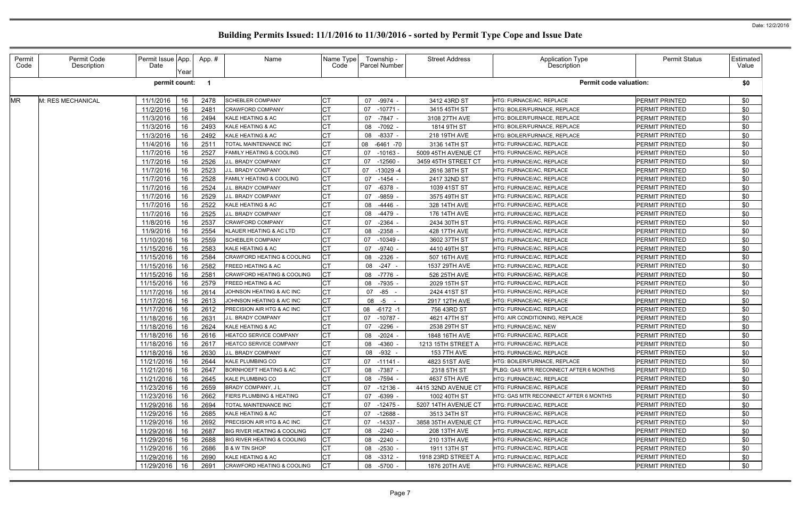| Permit<br>Code | Permit Code<br>Description | Permit Issue App.<br>Date | Year | App.# | Name                                  | Name Type<br>Code | Township -<br><b>Parcel Number</b> | <b>Street Address</b> | <b>Application Type</b><br>Description | <b>Permit Status</b>  | Estimated<br>Value |
|----------------|----------------------------|---------------------------|------|-------|---------------------------------------|-------------------|------------------------------------|-----------------------|----------------------------------------|-----------------------|--------------------|
|                |                            | permit count:             |      |       |                                       |                   |                                    |                       | <b>Permit code valuation:</b>          |                       | \$0                |
| <b>MR</b>      | M: RES MECHANICAL          | 11/1/2016                 | 16   | 2478  | <b>SCHEBLER COMPANY</b>               | <b>CT</b>         | $-9974 -$<br>07                    | 3412 43RD ST          | HTG: FURNACE/AC, REPLACE               | PERMIT PRINTED        | \$0                |
|                |                            | 11/2/2016                 | 16   | 2481  | <b>CRAWFORD COMPANY</b>               |                   | $-10771-$<br>07                    | 3415 45TH ST          | HTG: BOILER/FURNACE, REPLACE           | PERMIT PRINTED        | \$0                |
|                |                            | 11/3/2016                 | 16   | 2494  | KALE HEATING & AC                     |                   | $-7847 -$<br>07                    | 3108 27TH AVE         | HTG: BOILER/FURNACE, REPLACE           | PERMIT PRINTED        | \$0                |
|                |                            | 11/3/2016                 | 16   | 2493  | KALE HEATING & AC                     |                   | -7092<br>08                        | 1814 9TH ST           | HTG: BOILER/FURNACE, REPLACE           | PERMIT PRINTED        | \$0                |
|                |                            | 11/3/2016                 | 16   | 2492  | KALE HEATING & AC                     |                   | $-8337$<br>08                      | 218 19TH AVE          | HTG: BOILER/FURNACE, REPLACE           | PERMIT PRINTED        | \$0                |
|                |                            | 11/4/2016                 | 16   | 2511  | TOTAL MAINTENANCE INC                 |                   | 08<br>-6461 -70                    | 3136 14TH ST          | HTG: FURNACE/AC, REPLACE               | PERMIT PRINTED        | \$0                |
|                |                            | 11/7/2016                 | 16   | 2527  | <b>FAMILY HEATING &amp; COOLING</b>   |                   | 07<br>$-10163 -$                   | 5009 45TH AVENUE CT   | HTG: FURNACE/AC, REPLACE               | PERMIT PRINTED        | \$0                |
|                |                            | 11/7/2016                 | 16   | 2526  | J.L. BRADY COMPANY                    |                   | $-12560 -$<br>07                   | 3459 45TH STREET CT   | HTG: FURNACE/AC, REPLACE               | PERMIT PRINTED        | \$0                |
|                |                            | 11/7/2016                 | 16   | 2523  | J.L. BRADY COMPANY                    |                   | $-13029 - 4$<br>07                 | 2616 38TH ST          | HTG: FURNACE/AC, REPLACE               | PERMIT PRINTED        | \$0                |
|                |                            | 11/7/2016                 | 16   | 2528  | FAMILY HEATING & COOLING              |                   | 07<br>$-1454$                      | 2417 32ND ST          | HTG: FURNACE/AC, REPLACE               | PERMIT PRINTED        | \$0                |
|                |                            | 11/7/2016                 | 16   | 2524  | J.L. BRADY COMPANY                    |                   | $-6378$<br>07                      | 1039 41ST ST          | HTG: FURNACE/AC, REPLACE               | PERMIT PRINTED        | \$0                |
|                |                            | 11/7/2016                 | 16   | 2529  | J.L. BRADY COMPANY                    |                   | $-9859$<br>07                      | 3575 49TH ST          | <b>ITG: FURNACE/AC, REPLACE</b>        | PERMIT PRINTED        | \$0                |
|                |                            | 11/7/2016                 | 16   | 2522  | KALE HEATING & AC                     |                   | $-4446$<br>08                      | 328 14TH AVE          | HTG: FURNACE/AC, REPLACE               | PERMIT PRINTED        | \$0                |
|                |                            | 11/7/2016                 | 16   | 2525  | J.L. BRADY COMPANY                    |                   | $-4479$<br>08                      | 176 14TH AVE          | HTG: FURNACE/AC, REPLACE               | PERMIT PRINTED        | \$0                |
|                |                            | 11/8/2016                 | 16   | 2537  | <b>CRAWFORD COMPANY</b>               |                   | $-2364$<br>07                      | 2434 30TH ST          | HTG: FURNACE/AC, REPLACE               | PERMIT PRINTED        | \$0                |
|                |                            | 11/9/2016                 | 16   | 2554  | KLAUER HEATING & AC LTD               |                   | $-2358$<br>08                      | 428 17TH AVE          | HTG: FURNACE/AC, REPLACE               | PERMIT PRINTED        | \$0                |
|                |                            | 11/10/2016                | 16   | 2559  | <b>SCHEBLER COMPANY</b>               |                   | $-10349 -$<br>07                   | 3602 37TH ST          | HTG: FURNACE/AC, REPLACE               | PERMIT PRINTED        | \$0                |
|                |                            | 11/15/2016                | 16   | 2583  | KALE HEATING & AC                     |                   | $-9740$<br>07                      | 4410 49TH ST          | HTG: FURNACE/AC, REPLACE               | PERMIT PRINTED        | \$0                |
|                |                            | 11/15/2016                | 16   | 2584  | CRAWFORD HEATING & COOLING            | <b>CT</b>         | $-2326$<br>08                      | 507 16TH AVE          | HTG: FURNACE/AC, REPLACE               | PERMIT PRINTED        | \$0                |
|                |                            | 11/15/2016                | 16   | 2582  | <b>FREED HEATING &amp; AC</b>         | СT                | $-247 -$<br>08                     | 1537 29TH AVE         | HTG: FURNACE/AC, REPLACE               | PERMIT PRINTED        | \$0                |
|                |                            | 11/15/2016                | 16   | 2581  | <b>CRAWFORD HEATING &amp; COOLING</b> |                   | -7776<br>08                        | 526 25TH AVE          | <b>HTG: FURNACE/AC, REPLACE</b>        | PERMIT PRINTED        | \$0                |
|                |                            | 11/15/2016                | 16   | 2579  | <b>FREED HEATING &amp; AC</b>         |                   | -7935<br>08                        | 2029 15TH ST          | HTG: FURNACE/AC, REPLACE               | PERMIT PRINTED        | \$0                |
|                |                            | 11/17/2016                | 16   | 2614  | JOHNSON HEATING & A/C INC             |                   | 07 -85                             | 2424 41ST ST          | HTG: FURNACE/AC, REPLACE               | PERMIT PRINTED        | \$0                |
|                |                            | 11/17/2016                | 16   | 2613  | JOHNSON HEATING & A/C INC             |                   | $-5$<br>08                         | 2917 12TH AVE         | HTG: FURNACE/AC, REPLACE               | PERMIT PRINTED        | \$0                |
|                |                            | 11/17/2016                | 16   | 2612  | PRECISION AIR HTG & AC INC            |                   | 08<br>$-6172 - 1$                  | 756 43RD ST           | HTG: FURNACE/AC, REPLACE               | PERMIT PRINTED        | \$0                |
|                |                            | 11/18/2016                | 16   | 2631  | J.L. BRADY COMPANY                    |                   | $-10787 -$<br>07                   | 4621 47TH ST          | HTG: AIR CONDITIONING, REPLACE         | PERMIT PRINTED        | \$0                |
|                |                            | 11/18/2016                | 16   | 2624  | KALE HEATING & AC                     |                   | $-2296$<br>07                      | 2538 29TH ST          | HTG: FURNACE/AC, NEW                   | PERMIT PRINTED        | \$0                |
|                |                            | 11/18/2016   16           |      | 2616  | HEATCO SERVICE COMPANY                | <b>CT</b>         | $-2024 -$<br>08                    | 1848 16TH AVE         | HTG: FURNACE/AC, REPLACE               | PERMIT PRINTED        | \$0                |
|                |                            | 11/18/2016 16             |      | 2617  | HEATCO SERVICE COMPANY                | <b>CT</b>         | 08 -4360 -                         | 1213 15TH STREET A    | HTG: FURNACE/AC, REPLACE               | PERMIT PRINTED        | \$0                |
|                |                            | 11/18/2016   16           |      | 2630  | J.L. BRADY COMPANY                    |                   | -932 -<br>08                       | <b>153 7TH AVE</b>    | HTG: FURNACE/AC, REPLACE               | PERMIT PRINTED        | \$0                |
|                |                            | 11/21/2016   16           |      | 2644  | KALE PLUMBING CO                      |                   | $07 - 11141 -$                     | 4823 51ST AVE         | HTG: BOILER/FURNACE, REPLACE           | PERMIT PRINTED        | \$0                |
|                |                            | 11/21/2016 16             |      | 2647  | <b>BORNHOEFT HEATING &amp; AC</b>     |                   | 08 -7387 -                         | 2318 5TH ST           | PLBG: GAS MTR RECONNECT AFTER 6 MONTHS | PERMIT PRINTED        | \$0                |
|                |                            | 11/21/2016   16           |      | 2645  | <b>KALE PLUMBING CO</b>               |                   | -7594 -<br>08                      | 4637 5TH AVE          | HTG: FURNACE/AC, REPLACE               | PERMIT PRINTED        | \$0                |
|                |                            | 11/23/2016   16           |      | 2659  | BRADY COMPANY, J L                    |                   | -12136 -<br>07                     | 4415 32ND AVENUE CT   | HTG: FURNACE/AC, REPLACE               | PERMIT PRINTED        | \$0                |
|                |                            | 11/23/2016   16           |      | 2662  | FIERS PLUMBING & HEATING              |                   | $-6399 -$<br>07                    | 1002 40TH ST          | HTG: GAS MTR RECONNECT AFTER 6 MONTHS  | PERMIT PRINTED        | \$0                |
|                |                            | 11/29/2016                | 16   | 2694  | TOTAL MAINTENANCE INC                 |                   | 07 -12475 -                        | 5207 14TH AVENUE CT   | <b>HTG: FURNACE/AC. REPLACE</b>        | PERMIT PRINTED        | \$0                |
|                |                            | 11/29/2016   16           |      | 2685  | KALE HEATING & AC                     |                   | $-12688 -$<br>07                   | 3513 34TH ST          | HTG: FURNACE/AC, REPLACE               | PERMIT PRINTED        | \$0                |
|                |                            | 11/29/2016   16           |      | 2692  | <b>PRECISION AIR HTG &amp; AC INC</b> |                   | -14337 -<br>07                     | 3858 35TH AVENUE CT   | HTG: FURNACE/AC, REPLACE               | PERMIT PRINTED        | \$0                |
|                |                            | 11/29/2016                | 16   | 2687  | BIG RIVER HEATING & COOLING           |                   | $-2240 -$<br>08                    | 208 13TH AVE          | HTG: FURNACE/AC, REPLACE               | PERMIT PRINTED        | \$0                |
|                |                            | 11/29/2016                | 16   | 2688  | BIG RIVER HEATING & COOLING           |                   | -2240 -<br>08                      | 210 13TH AVE          | HTG: FURNACE/AC, REPLACE               | PERMIT PRINTED        | \$0                |
|                |                            | 11/29/2016                | 16   | 2686  | <b>B &amp; W TIN SHOP</b>             |                   | $-2530 -$<br>08                    | 1911 13TH ST          | HTG: FURNACE/AC, REPLACE               | PERMIT PRINTED        | \$0                |
|                |                            | 11/29/2016 16             |      | 2690  | KALE HEATING & AC                     |                   | $-3312 -$<br>08                    | 1918 23RD STREET A    | HTG: FURNACE/AC, REPLACE               | PERMIT PRINTED        | \$0                |
|                |                            | 11/29/2016 16             |      | 2691  | <b>CRAWFORD HEATING &amp; COOLING</b> |                   | 08 -5700                           | 1876 20TH AVE         | HTG: FURNACE/AC, REPLACE               | <b>PERMIT PRINTED</b> | \$0                |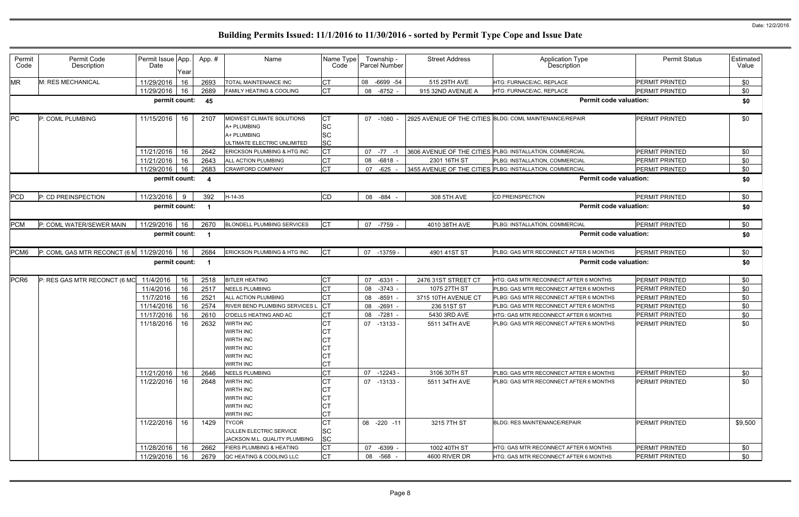| Permit<br>Code   | Permit Code<br>Description   | Permit Issue App.<br>Date | Year     | App.#                   | Name                                                                                                   | Name Type<br>Code                                | Township -<br>Parcel Number       | <b>Street Address</b>         | <b>Application Type</b><br>Description                                         | <b>Permit Status</b>                           | Estimated<br>Value |
|------------------|------------------------------|---------------------------|----------|-------------------------|--------------------------------------------------------------------------------------------------------|--------------------------------------------------|-----------------------------------|-------------------------------|--------------------------------------------------------------------------------|------------------------------------------------|--------------------|
| <b>MR</b>        | M: RES MECHANICAL            | 11/29/2016                | 16       | 2693                    | TOTAL MAINTENANCE INC                                                                                  | <b>CT</b>                                        | 08<br>-6699 -54                   | 515 29TH AVE                  | HTG: FURNACE/AC, REPLACE                                                       | <b>PERMIT PRINTED</b>                          | \$0                |
|                  |                              | 11/29/2016                | 16       | 2689                    | <b>FAMILY HEATING &amp; COOLING</b>                                                                    | <b>CT</b>                                        | $-8752 -$<br>08                   | 915 32ND AVENUE A             | HTG: FURNACE/AC, REPLACE                                                       | <b>PERMIT PRINTED</b>                          | \$0                |
|                  |                              | permit count:             |          | 45                      |                                                                                                        |                                                  |                                   |                               | <b>Permit code valuation:</b>                                                  |                                                | \$0                |
| PC               | P: COML PLUMBING             | 11/15/2016                | 16       | 2107                    | MIDWEST CLIMATE SOLUTIONS<br>A+ PLUMBING<br>A+ PLUMBING<br>ULTIMATE ELECTRIC UNLIMITED                 | <b>CT</b><br><b>SC</b><br><b>SC</b><br><b>SC</b> | 07 -1080                          |                               | 2925 AVENUE OF THE CITIES BLDG: COML MAINTENANCE/REPAIR                        | <b>PERMIT PRINTED</b>                          | \$0                |
|                  |                              | 11/21/2016                | 16       | 2642                    | ERICKSON PLUMBING & HTG INC                                                                            | <b>CT</b>                                        | 07<br>$-77$                       |                               | 3606 AVENUE OF THE CITIES PLBG: INSTALLATION, COMMERCIAL                       | <b>PERMIT PRINTED</b>                          | \$0                |
|                  |                              | 11/21/2016                | 16       | 2643                    | ALL ACTION PLUMBING                                                                                    | <b>CT</b>                                        | $-6818$<br>08                     | 2301 16TH ST                  | PLBG: INSTALLATION, COMMERCIAL                                                 | <b>PERMIT PRINTED</b>                          | \$0                |
|                  |                              | 11/29/2016                | 16       | 2683                    | <b>CRAWFORD COMPANY</b>                                                                                | <b>CT</b>                                        | $-625$<br>07                      |                               | 3455 AVENUE OF THE CITIES PLBG: INSTALLATION, COMMERCIAL                       | <b>PERMIT PRINTED</b>                          | \$0                |
|                  |                              | permit count:             |          | $\overline{a}$          |                                                                                                        |                                                  |                                   |                               | <b>Permit code valuation:</b>                                                  |                                                | \$0                |
| <b>PCD</b>       | P: CD PREINSPECTION          | 11/23/2016                | -9       | 392                     | $H-14-35$                                                                                              | <b>CD</b>                                        | 08 - 884                          | 308 5TH AVE                   | <b>CD PREINSPECTION</b>                                                        | PERMIT PRINTED                                 | \$0                |
|                  |                              | permit count:             |          | $\overline{\mathbf{1}}$ |                                                                                                        |                                                  |                                   |                               | <b>Permit code valuation:</b>                                                  |                                                | \$0                |
| <b>PCM</b>       | P: COML WATER/SEWER MAIN     | 11/29/2016                | 16       | 2670                    | <b>BLONDELL PLUMBING SERVICES</b>                                                                      | <b>CT</b>                                        | $-7759$<br>07                     | 4010 38TH AVE                 | PLBG: INSTALLATION, COMMERCIAL                                                 | PERMIT PRINTED                                 | \$0                |
|                  |                              | permit count:             |          | $\overline{\mathbf{1}}$ |                                                                                                        |                                                  |                                   |                               | <b>Permit code valuation:</b>                                                  |                                                | \$0                |
| PCM6             | P: COML GAS MTR RECONCT (6 M | 11/29/2016                | 16       | 2684                    | ERICKSON PLUMBING & HTG INC                                                                            | <b>I</b> CT                                      | 07 -13759 -                       | 4901 41ST ST                  | PLBG: GAS MTR RECONNECT AFTER 6 MONTHS                                         | <b>PERMIT PRINTED</b>                          | \$0                |
|                  |                              |                           |          |                         |                                                                                                        |                                                  |                                   |                               |                                                                                |                                                |                    |
|                  |                              | permit count:             |          | $\overline{\mathbf{1}}$ |                                                                                                        |                                                  |                                   |                               | <b>Permit code valuation:</b>                                                  |                                                | \$0                |
| PCR <sub>6</sub> | P: RES GAS MTR RECONCT (6 MO | 11/4/2016                 | 16       |                         | <b>BITLER HEATING</b>                                                                                  | <b>CT</b>                                        | 07<br>$-6331$                     | 2476 31ST STREET CT           | HTG: GAS MTR RECONNECT AFTER 6 MONTHS                                          | <b>PERMIT PRINTED</b>                          | \$0                |
|                  |                              | 11/4/2016                 | 16       | 2518<br>2517            | <b>NEELS PLUMBING</b>                                                                                  | <b>CT</b>                                        | 08<br>$-3743 -$                   | 1075 27TH ST                  | PLBG: GAS MTR RECONNECT AFTER 6 MONTHS                                         | <b>PERMIT PRINTED</b>                          | \$0                |
|                  |                              | 11/7/2016                 | 16       | 2521                    | ALL ACTION PLUMBING                                                                                    | <b>CT</b>                                        | 08<br>$-8591$                     | 3715 10TH AVENUE CT           | PLBG: GAS MTR RECONNECT AFTER 6 MONTHS                                         | PERMIT PRINTED                                 | \$0                |
|                  |                              | 11/14/2016                | 16       | 2574                    | RIVER BEND PLUMBING SERVICES L                                                                         | Iст                                              | $-2691 -$<br>08                   | 236 51ST ST                   | PLBG: GAS MTR RECONNECT AFTER 6 MONTHS                                         | PERMIT PRINTED                                 | \$0                |
|                  |                              | 11/17/2016                | 16       | 2610                    | O'DELLS HEATING AND AC                                                                                 | <b>CT</b>                                        | $-7281 -$<br>08                   | 5430 3RD AVE                  | HTG: GAS MTR RECONNECT AFTER 6 MONTHS                                          | <b>PERMIT PRINTED</b>                          | \$0                |
|                  |                              | 11/18/2016                | 16       | 2632                    | <b>NIRTH INC</b><br><b>WIRTH INC</b><br>WIRTH INC<br><b>WIRTH INC</b><br>WIRTH INC<br><b>WIRTH INC</b> | <b>CT</b><br>СT<br><b>CT</b><br><b>CT</b><br>СT  | 07<br>$-13133 -$                  | 5511 34TH AVE                 | PLBG: GAS MTR RECONNECT AFTER 6 MONTHS                                         | <b>PERMIT PRINTED</b>                          | \$0                |
|                  |                              | 11/21/2016                | 16       | 2646                    | <b>NEELS PLUMBING</b>                                                                                  | <b>CT</b><br><b>CT</b>                           | 07<br>$-12243-$                   | 3106 30TH ST                  | PLBG: GAS MTR RECONNECT AFTER 6 MONTHS                                         | PERMIT PRINTED                                 | \$0                |
|                  |                              | 11/22/2016                | 16       | 2648                    | WIRTH INC<br>WIRTH INC<br>WIRTH INC<br><b>WIRTH INC</b>                                                | <b>CT</b><br><b>CT</b>                           | 07 -13133 -                       | 5511 34TH AVE                 | PLBG: GAS MTR RECONNECT AFTER 6 MONTHS                                         | <b>PERMIT PRINTED</b>                          | \$0                |
|                  |                              | 11/22/2016                | 16       | 1429                    | <b>WIRTH INC</b><br><b>TYCOR</b><br><b>CULLEN ELECTRIC SERVICE</b><br>JACKSON M.L. QUALITY PLUMBING    | <b>CT</b><br><b>CT</b><br><b>SC</b><br><b>SC</b> | 08 -220 -11                       | 3215 7TH ST                   | <b>BLDG: RES MAINTENANCE/REPAIR</b>                                            | <b>PERMIT PRINTED</b>                          | \$9,500            |
|                  |                              | 11/28/2016<br>11/29/2016  | 16<br>16 | 2662<br>2679            | <b>FIERS PLUMBING &amp; HEATING</b><br>QC HEATING & COOLING LLC                                        | СT<br><b>CT</b>                                  | 07<br>$-6399 -$<br>$-568 -$<br>08 | 1002 40TH ST<br>4600 RIVER DR | HTG: GAS MTR RECONNECT AFTER 6 MONTHS<br>HTG: GAS MTR RECONNECT AFTER 6 MONTHS | <b>PERMIT PRINTED</b><br><b>PERMIT PRINTED</b> | \$0<br>\$0         |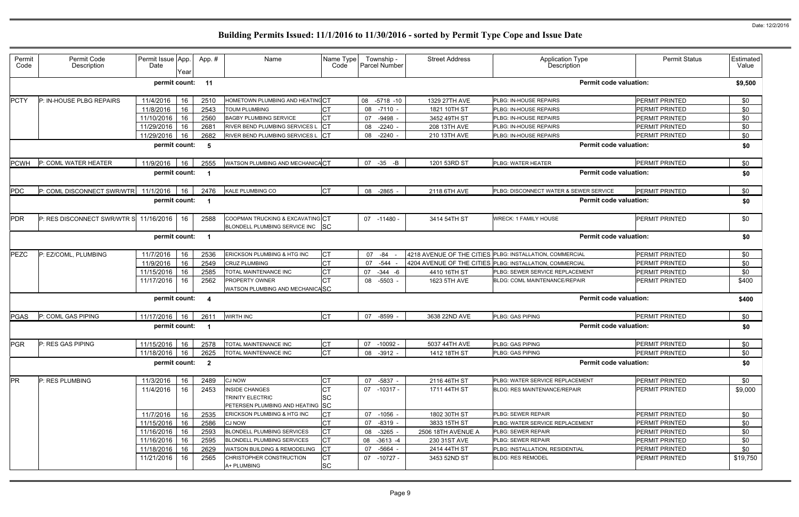| Permit<br>Code | Permit Code<br>Description  | Permit Issue App.<br>Date | Year | App. #                  | Name                                                                 | Name Type<br>Code | Township -<br>Parcel Number | <b>Street Address</b> | <b>Application Type</b><br>Description                   | <b>Permit Status</b>          | Estimated<br>Value |
|----------------|-----------------------------|---------------------------|------|-------------------------|----------------------------------------------------------------------|-------------------|-----------------------------|-----------------------|----------------------------------------------------------|-------------------------------|--------------------|
|                |                             | permit count:             |      | 11                      |                                                                      |                   |                             |                       |                                                          | <b>Permit code valuation:</b> | \$9,500            |
| <b>PCTY</b>    | P: IN-HOUSE PLBG REPAIRS    | 11/4/2016                 | 16   | 2510                    | HOMETOWN PLUMBING AND HEATINC CT                                     |                   | 08 -5718 -10                | 1329 27TH AVE         | PLBG: IN-HOUSE REPAIRS                                   | <b>PERMIT PRINTED</b>         | \$0                |
|                |                             | 11/8/2016                 | 16   | 2543                    | TOUM PLUMBING                                                        | <b>CT</b>         | 08<br>-7110 -               | 1821 10TH ST          | PLBG: IN-HOUSE REPAIRS                                   | <b>PERMIT PRINTED</b>         | \$0                |
|                |                             | 11/10/2016                | 16   | 2560                    | <b>BAGBY PLUMBING SERVICE</b>                                        | <b>CT</b>         | 07<br>$-9498$               | 3452 49TH ST          | PLBG: IN-HOUSE REPAIRS                                   | <b>PERMIT PRINTED</b>         | \$0                |
|                |                             | 11/29/2016                | 16   | 2681                    | RIVER BEND PLUMBING SERVICES L                                       | $ _{\rm CT}$      | $-2240$<br>08               | 208 13TH AVE          | PLBG: IN-HOUSE REPAIRS                                   | <b>PERMIT PRINTED</b>         | \$0                |
|                |                             | 11/29/2016                | 16   | 2682                    | RIVER BEND PLUMBING SERVICES L                                       | <b>ICT</b>        | $-2240$<br>08               | 210 13TH AVE          | PLBG: IN-HOUSE REPAIRS                                   | PERMIT PRINTED                | \$0                |
|                |                             | permit count:             |      | - 5                     |                                                                      |                   |                             |                       |                                                          | <b>Permit code valuation:</b> | \$0                |
| <b>PCWH</b>    | P: COML WATER HEATER        | 11/9/2016                 | 16   | 2555                    | WATSON PLUMBING AND MECHANICACT                                      |                   | 07<br>$-35 - B$             | 1201 53RD ST          | PLBG: WATER HEATER                                       | <b>PERMIT PRINTED</b>         | \$0                |
|                |                             | permit count:             |      | $\overline{\mathbf{1}}$ |                                                                      |                   |                             |                       |                                                          | <b>Permit code valuation:</b> | \$0                |
| PDC            | P: COML DISCONNECT SWR/WTR  | 11/1/2016                 | 16   | 2476                    | <b>KALE PLUMBING CO</b>                                              | <b>CT</b>         | 08 -2865                    | 2118 6TH AVE          | PLBG: DISCONNECT WATER & SEWER SERVICE                   | <b>PERMIT PRINTED</b>         | \$0                |
|                |                             | permit count:             |      | - 1                     |                                                                      |                   |                             |                       |                                                          | <b>Permit code valuation:</b> | \$0                |
| <b>PDR</b>     | P: RES DISCONNECT SWR/WTR S | 11/16/2016                | 16   | 2588                    | COOPMAN TRUCKING & EXCAVATING CT<br>BLONDELL PLUMBING SERVICE INC SC |                   | 07 -11480 -                 | 3414 54TH ST          | <b>WRECK: 1 FAMILY HOUSE</b>                             | <b>PERMIT PRINTED</b>         | \$0                |
|                |                             | permit count:             |      | $\overline{\mathbf{1}}$ |                                                                      |                   |                             |                       |                                                          | <b>Permit code valuation:</b> | \$0                |
| PEZC           | P: EZ/COML, PLUMBING        | 11/7/2016                 | 16   | 2536                    | ERICKSON PLUMBING & HTG INC                                          | <b>CT</b>         | 07<br>$-84$                 |                       | 4218 AVENUE OF THE CITIES PLBG: INSTALLATION, COMMERCIAL | PERMIT PRINTED                | \$0                |
|                |                             | 11/9/2016                 | 16   | 2549                    | CRUZ PLUMBING                                                        | <b>CT</b>         | $-544$<br>07                |                       | 4204 AVENUE OF THE CITIES PLBG: INSTALLATION, COMMERCIAL | PERMIT PRINTED                | \$0                |
|                |                             | 11/15/2016                | 16   | 2585                    | TOTAL MAINTENANCE INC                                                | <b>CT</b><br>07   | $-344 - 6$                  | 4410 16TH ST          | PLBG: SEWER SERVICE REPLACEMENT                          | PERMIT PRINTED                | \$0                |
|                |                             | 11/17/2016                | 16   | 2562                    | <b>PROPERTY OWNER</b>                                                | CT                | $-5503 -$<br>08             | 1623 5TH AVE          | <b>BLDG: COML MAINTENANCE/REPAIR</b>                     | <b>PERMIT PRINTED</b>         | \$400              |
|                |                             |                           |      |                         | WATSON PLUMBING AND MECHANICASC                                      |                   |                             |                       |                                                          |                               |                    |
|                |                             | permit count:             |      | -4                      |                                                                      |                   |                             |                       |                                                          | <b>Permit code valuation:</b> | \$400              |
| <b>PGAS</b>    | P: COML GAS PIPING          | 11/17/2016                | 16   | 2611                    | <b>WIRTH INC</b>                                                     | IСТ               | 07<br>-8599                 | 3638 22ND AVE         | PLBG: GAS PIPING                                         | <b>PERMIT PRINTED</b>         | \$0                |
|                |                             | permit count:             |      | $\overline{\mathbf{1}}$ |                                                                      |                   |                             |                       |                                                          | <b>Permit code valuation:</b> | \$0                |
| <b>PGR</b>     | P: RES GAS PIPING           | 11/15/2016   16           |      | 2578                    | TOTAL MAINTENANCE INC                                                | <b>CT</b>         | 07 -10092 -                 | 5037 44TH AVE         | PLBG: GAS PIPING                                         | PERMIT PRINTED                | \$0                |
|                |                             | 11/18/2016                | 16   | 2625                    | TOTAL MAINTENANCE INC                                                | Iст               | 08 -3912 -                  | 1412 18TH ST          | PLBG: GAS PIPING                                         | <b>PERMIT PRINTED</b>         | \$0                |
|                |                             | permit count: 2           |      |                         |                                                                      |                   |                             |                       |                                                          | <b>Permit code valuation:</b> | \$0                |
| <b>PR</b>      | P: RES PLUMBING             | 11/3/2016                 | 16   | 2489                    | <b>CJ NOW</b>                                                        | <b>CT</b>         | $-5837 -$<br>07             | 2116 46TH ST          | PLBG: WATER SERVICE REPLACEMENT                          | PERMIT PRINTED                | \$0                |
|                |                             | 11/4/2016                 | 16   | 2453                    | <b>INSIDE CHANGES</b>                                                |                   | 07 -10317 -                 | 1711 44TH ST          | <b>BLDG: RES MAINTENANCE/REPAIR</b>                      | PERMIT PRINTED                | \$9,000            |
|                |                             |                           |      |                         | <b>TRINITY ELECTRIC</b>                                              |                   |                             |                       |                                                          |                               |                    |
|                |                             |                           |      |                         | PETERSEN PLUMBING AND HEATING SC                                     |                   |                             |                       |                                                          |                               |                    |
|                |                             | 11/7/2016                 | 16   | 2535                    | ERICKSON PLUMBING & HTG INC                                          |                   | 07 -1056 -                  | 1802 30TH ST          | PLBG: SEWER REPAIR                                       | PERMIT PRINTED                | \$0                |
|                |                             | 11/15/2016                | 16   | 2586                    | CJ NOW                                                               | СT                | 07 -8319 -                  | 3833 15TH ST          | PLBG: WATER SERVICE REPLACEMENT                          | <b>PERMIT PRINTED</b>         | \$0                |
|                |                             | 11/16/2016                | 16   | 2593                    | <b>BLONDELL PLUMBING SERVICES</b>                                    | <b>CT</b>         | $-3265 -$<br>08             | 2506 18TH AVENUE A    | PLBG: SEWER REPAIR                                       | <b>PERMIT PRINTED</b>         | \$0                |
|                |                             | 11/16/2016                | 16   | 2595                    | <b>BLONDELL PLUMBING SERVICES</b>                                    | IСТ               | 08 -3613 -4                 | 230 31ST AVE          | PLBG: SEWER REPAIR                                       | <b>PERMIT PRINTED</b>         | \$0                |
|                |                             | 11/18/2016                | 16   | 2629                    | WATSON BUILDING & REMODELING                                         | Iст               | -5664 -<br>07               | 2414 44TH ST          | PLBG: INSTALLATION, RESIDENTIAL                          | PERMIT PRINTED                | \$0                |
|                |                             | 11/21/2016                | 16   | 2565                    | CHRISTOPHER CONSTRUCTION                                             | <b>ICT</b>        | 07 -10727 -                 | 3453 52ND ST          | <b>BLDG: RES REMODEL</b>                                 | <b>PERMIT PRINTED</b>         | \$19,750           |
|                |                             |                           |      |                         | A+ PLUMBING                                                          | <b>SC</b>         |                             |                       |                                                          |                               |                    |